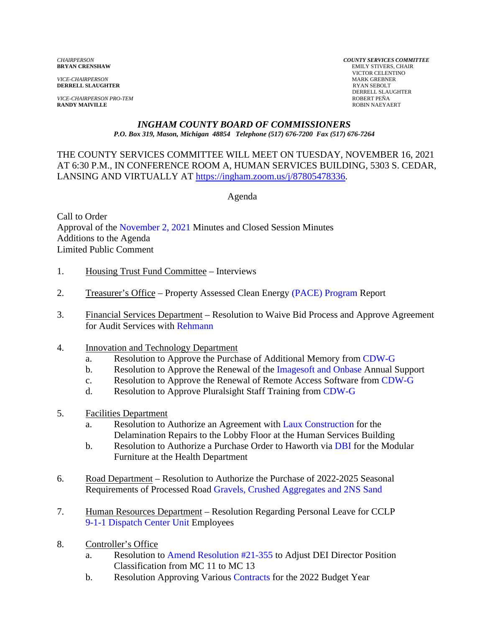*VICE-CHAIRPERSON* MARK GREBNE<br> **DERRELL SLAUGHTER** RYAN SEBOLT **DERRELL SLAUGHTER** 

*VICE-CHAIRPERSON PRO-TEM* ROBERT PEÑA **RANDY MAIVILLE** 

*CHAIRPERSON COUNTY SERVICES COMMITTEE* **EMILY STIVERS, CHAIR**  VICTOR CELENTINO DERRELL SLAUGHTER<br>ROBERT PEÑA

#### *INGHAM COUNTY BOARD OF COMMISSIONERS P.O. Box 319, Mason, Michigan 48854 Telephone (517) 676-7200 Fax (517) 676-7264*

THE COUNTY SERVICES COMMITTEE WILL MEET ON TUESDAY, NOVEMBER 16, 2021 AT 6:30 P.M., IN CONFEREN[CE ROOM A, HUMAN SERVICES BUILDING, 530](https://ingham.zoom.us/j/87805478336)3 S. CEDAR, LANSING AND VIRTUALLY AT https://ingham.zoom.us/j/87805478336.

Agenda

Call to Order Approva[l of the November 2, 2021 Minutes and Cl](#page-2-0)osed Session Minutes Additions to the Agenda Limited Public Comment

- 1. Housing Trust Fund Committee Interviews
- 2. Treasurer's Office Property Assessed Clean Ener[gy \(PACE\) Program Report](#page-10-0)
- 3. Financial Services Department Resolution to Waive Bid Process and Approve Agreement for Audit Services wi[th Rehmann](#page-12-0)
- 4. Innovation and Technology Department
	- a. Resolution to Approve the Purchase of Additional Memor[y from CDW-G](#page-15-0)
	- b. Resolution to Approve the Renewal of [the Imagesoft and Onbase An](#page-17-0)nual Support
	- c. Resolution to Approve the Renewal of Remote Access Software fro[m CDW-G](#page-19-0)
	- d. Resolution to Approve Pluralsight Staff Training [from CDW-G](#page-21-0)
- 5. Facilities Department
	- a. Resolution to Authorize an Agreement with Laux Construction for the Delamination Repairs to the Lobby Floor [at the Human Services Build](#page-23-0)ing
	- b. Resolution to Authorize a Purchase Order to Hawort[h via DBI for the Mo](#page-25-0)dular Furniture at the Health Department
- 6. Road Department Resolution to Authorize the Purchase of 2022-2025 Seasonal Requirements of Processed Ro[ad Gravels, Crushed Aggregates and 2NS Sand](#page-27-0)
- 7. Human Resources Department Resolution Regarding Personal Leave for CCLP [9-1-1 Dispatch Center Unit Emp](#page-31-0)loyees
- 8. Controller's Office
	- a. Resolution t[o Amend Resolution #21-355 to Adju](#page-33-0)st DEI Director Position Classification from MC 11 to MC 13
	- b. Resolution Approving Var[ious Contracts for the](#page-38-0) 2022 Budget Year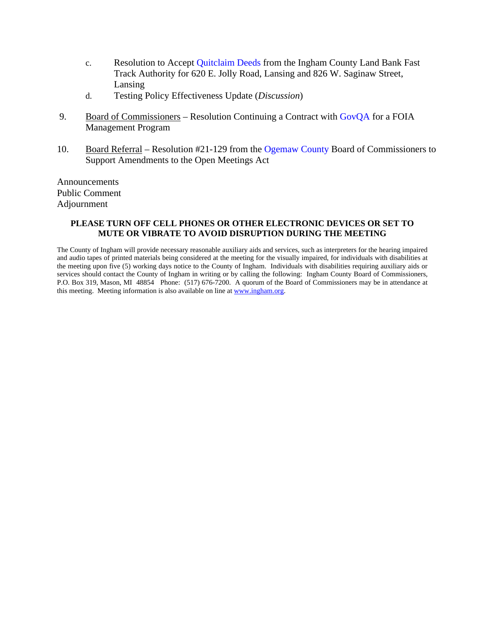- c. Resolution to Accept Quitclaim Deeds from the Ingham County Land Bank Fast Track Authority [for 620 E. Jolly Road, Lansing](#page-41-0) and 826 W. Saginaw Street, Lansing
- d. Testing Policy Effectiveness Update (*Discussion*)
- 9. Board of Commissioners Resolution Continuing a Contract [with GovQA for a FO](#page-45-0)IA Management Program
- 10. Board Referral Resolution #21-129 from the [Ogemaw County Board](#page-47-0) of Commissioners to Support Amendments to the Open Meetings Act

Announcements Public Comment Adjournment

#### **PLEASE TURN OFF CELL PHONES OR OTHER ELECTRONIC DEVICES OR SET TO MUTE OR VIBRATE TO AVOID DISRUPTION DURING THE MEETING**

The County of Ingham will provide necessary reasonable auxiliary aids and services, such as interpreters for the hearing impaired and audio tapes of printed materials being considered at the meeting for the visually impaired, for individuals with disabilities at the meeting upon five (5) working days notice to the County of Ingham. Individuals with disabilities requiring auxiliary aids or services should contact the County of Ingham in writing or by calling the following: Ingham County Board of Commissioners, P.O. Box 319, Mason, MI 48854 Phone: (517) 676-7200. A quorum of the Board of Commissioners may be in attendance at this meeting. Meeting information is also available on line at www.ingham.org.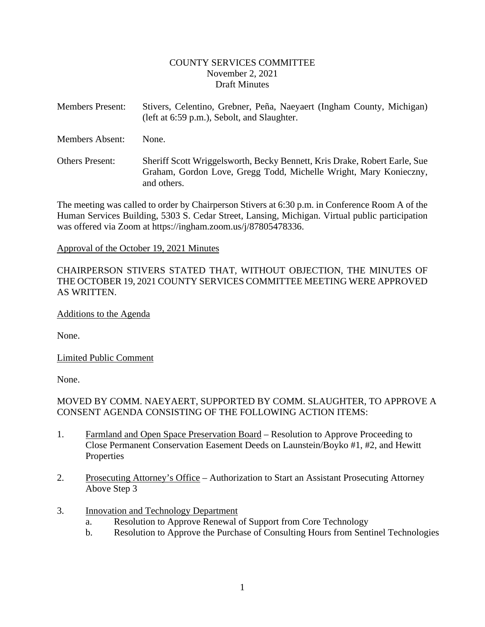#### COUNTY SERVICES COMMITTEE November 2, 2021 Draft Minutes

<span id="page-2-0"></span>Members Present: Stivers, Celentino, Grebner, Peña, Naeyaert (Ingham County, Michigan) (left at 6:59 p.m.), Sebolt, and Slaughter.

Members Absent: None.

Others Present: Sheriff Scott Wriggelsworth, Becky Bennett, Kris Drake, Robert Earle, Sue Graham, Gordon Love, Gregg Todd, Michelle Wright, Mary Konieczny, and others.

The meeting was called to order by Chairperson Stivers at 6:30 p.m. in Conference Room A of the Human Services Building, 5303 S. Cedar Street, Lansing, Michigan. Virtual public participation was offered via Zoom at https://ingham.zoom.us/j/87805478336.

#### Approval of the October 19, 2021 Minutes

## CHAIRPERSON STIVERS STATED THAT, WITHOUT OBJECTION, THE MINUTES OF THE OCTOBER 19, 2021 COUNTY SERVICES COMMITTEE MEETING WERE APPROVED AS WRITTEN.

#### Additions to the Agenda

None.

Limited Public Comment

None.

# MOVED BY COMM. NAEYAERT, SUPPORTED BY COMM. SLAUGHTER, TO APPROVE A CONSENT AGENDA CONSISTING OF THE FOLLOWING ACTION ITEMS:

- 1. Farmland and Open Space Preservation Board Resolution to Approve Proceeding to Close Permanent Conservation Easement Deeds on Launstein/Boyko #1, #2, and Hewitt **Properties**
- 2. Prosecuting Attorney's Office Authorization to Start an Assistant Prosecuting Attorney Above Step 3
- 3. Innovation and Technology Department
	- a. Resolution to Approve Renewal of Support from Core Technology
	- b. Resolution to Approve the Purchase of Consulting Hours from Sentinel Technologies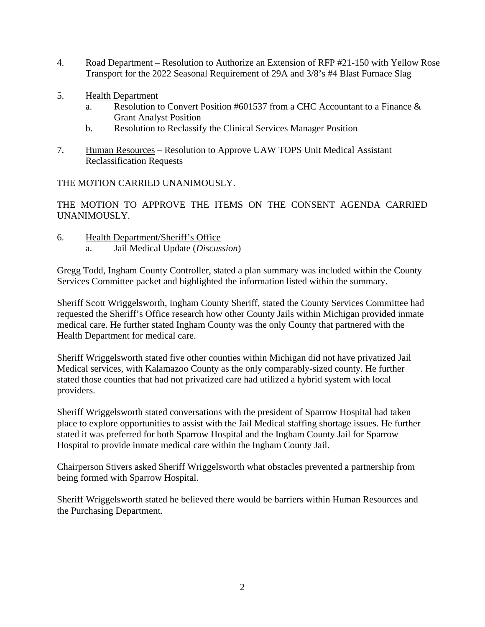- 4. Road Department Resolution to Authorize an Extension of RFP #21-150 with Yellow Rose Transport for the 2022 Seasonal Requirement of 29A and 3/8's #4 Blast Furnace Slag
- 5. Health Department
	- a. Resolution to Convert Position #601537 from a CHC Accountant to a Finance & Grant Analyst Position
	- b. Resolution to Reclassify the Clinical Services Manager Position
- 7. Human Resources Resolution to Approve UAW TOPS Unit Medical Assistant Reclassification Requests

THE MOTION CARRIED UNANIMOUSLY.

THE MOTION TO APPROVE THE ITEMS ON THE CONSENT AGENDA CARRIED UNANIMOUSLY.

- 6. Health Department/Sheriff's Office
	- a. Jail Medical Update (*Discussion*)

Gregg Todd, Ingham County Controller, stated a plan summary was included within the County Services Committee packet and highlighted the information listed within the summary.

Sheriff Scott Wriggelsworth, Ingham County Sheriff, stated the County Services Committee had requested the Sheriff's Office research how other County Jails within Michigan provided inmate medical care. He further stated Ingham County was the only County that partnered with the Health Department for medical care.

Sheriff Wriggelsworth stated five other counties within Michigan did not have privatized Jail Medical services, with Kalamazoo County as the only comparably-sized county. He further stated those counties that had not privatized care had utilized a hybrid system with local providers.

Sheriff Wriggelsworth stated conversations with the president of Sparrow Hospital had taken place to explore opportunities to assist with the Jail Medical staffing shortage issues. He further stated it was preferred for both Sparrow Hospital and the Ingham County Jail for Sparrow Hospital to provide inmate medical care within the Ingham County Jail.

Chairperson Stivers asked Sheriff Wriggelsworth what obstacles prevented a partnership from being formed with Sparrow Hospital.

Sheriff Wriggelsworth stated he believed there would be barriers within Human Resources and the Purchasing Department.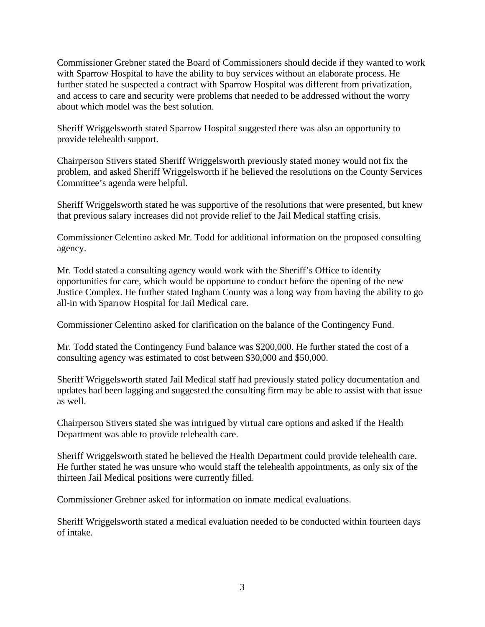Commissioner Grebner stated the Board of Commissioners should decide if they wanted to work with Sparrow Hospital to have the ability to buy services without an elaborate process. He further stated he suspected a contract with Sparrow Hospital was different from privatization, and access to care and security were problems that needed to be addressed without the worry about which model was the best solution.

Sheriff Wriggelsworth stated Sparrow Hospital suggested there was also an opportunity to provide telehealth support.

Chairperson Stivers stated Sheriff Wriggelsworth previously stated money would not fix the problem, and asked Sheriff Wriggelsworth if he believed the resolutions on the County Services Committee's agenda were helpful.

Sheriff Wriggelsworth stated he was supportive of the resolutions that were presented, but knew that previous salary increases did not provide relief to the Jail Medical staffing crisis.

Commissioner Celentino asked Mr. Todd for additional information on the proposed consulting agency.

Mr. Todd stated a consulting agency would work with the Sheriff's Office to identify opportunities for care, which would be opportune to conduct before the opening of the new Justice Complex. He further stated Ingham County was a long way from having the ability to go all-in with Sparrow Hospital for Jail Medical care.

Commissioner Celentino asked for clarification on the balance of the Contingency Fund.

Mr. Todd stated the Contingency Fund balance was \$200,000. He further stated the cost of a consulting agency was estimated to cost between \$30,000 and \$50,000.

Sheriff Wriggelsworth stated Jail Medical staff had previously stated policy documentation and updates had been lagging and suggested the consulting firm may be able to assist with that issue as well.

Chairperson Stivers stated she was intrigued by virtual care options and asked if the Health Department was able to provide telehealth care.

Sheriff Wriggelsworth stated he believed the Health Department could provide telehealth care. He further stated he was unsure who would staff the telehealth appointments, as only six of the thirteen Jail Medical positions were currently filled.

Commissioner Grebner asked for information on inmate medical evaluations.

Sheriff Wriggelsworth stated a medical evaluation needed to be conducted within fourteen days of intake.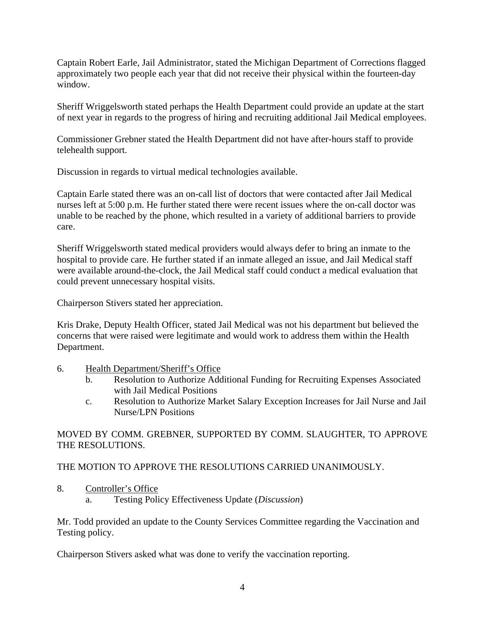Captain Robert Earle, Jail Administrator, stated the Michigan Department of Corrections flagged approximately two people each year that did not receive their physical within the fourteen-day window.

Sheriff Wriggelsworth stated perhaps the Health Department could provide an update at the start of next year in regards to the progress of hiring and recruiting additional Jail Medical employees.

Commissioner Grebner stated the Health Department did not have after-hours staff to provide telehealth support.

Discussion in regards to virtual medical technologies available.

Captain Earle stated there was an on-call list of doctors that were contacted after Jail Medical nurses left at 5:00 p.m. He further stated there were recent issues where the on-call doctor was unable to be reached by the phone, which resulted in a variety of additional barriers to provide care.

Sheriff Wriggelsworth stated medical providers would always defer to bring an inmate to the hospital to provide care. He further stated if an inmate alleged an issue, and Jail Medical staff were available around-the-clock, the Jail Medical staff could conduct a medical evaluation that could prevent unnecessary hospital visits.

Chairperson Stivers stated her appreciation.

Kris Drake, Deputy Health Officer, stated Jail Medical was not his department but believed the concerns that were raised were legitimate and would work to address them within the Health Department.

- 6. Health Department/Sheriff's Office
	- b. Resolution to Authorize Additional Funding for Recruiting Expenses Associated with Jail Medical Positions
	- c. Resolution to Authorize Market Salary Exception Increases for Jail Nurse and Jail Nurse/LPN Positions

MOVED BY COMM. GREBNER, SUPPORTED BY COMM. SLAUGHTER, TO APPROVE THE RESOLUTIONS.

THE MOTION TO APPROVE THE RESOLUTIONS CARRIED UNANIMOUSLY.

- 8. Controller's Office
	- a. Testing Policy Effectiveness Update (*Discussion*)

Mr. Todd provided an update to the County Services Committee regarding the Vaccination and Testing policy.

Chairperson Stivers asked what was done to verify the vaccination reporting.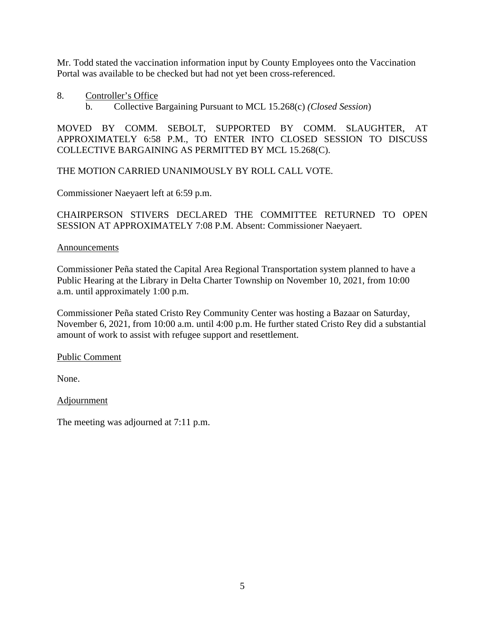Mr. Todd stated the vaccination information input by County Employees onto the Vaccination Portal was available to be checked but had not yet been cross-referenced.

- 8. Controller's Office
	- b. Collective Bargaining Pursuant to MCL 15.268(c) *(Closed Session*)

MOVED BY COMM. SEBOLT, SUPPORTED BY COMM. SLAUGHTER, AT APPROXIMATELY 6:58 P.M., TO ENTER INTO CLOSED SESSION TO DISCUSS COLLECTIVE BARGAINING AS PERMITTED BY MCL 15.268(C).

THE MOTION CARRIED UNANIMOUSLY BY ROLL CALL VOTE.

Commissioner Naeyaert left at 6:59 p.m.

CHAIRPERSON STIVERS DECLARED THE COMMITTEE RETURNED TO OPEN SESSION AT APPROXIMATELY 7:08 P.M. Absent: Commissioner Naeyaert.

#### Announcements

Commissioner Peña stated the Capital Area Regional Transportation system planned to have a Public Hearing at the Library in Delta Charter Township on November 10, 2021, from 10:00 a.m. until approximately 1:00 p.m.

Commissioner Peña stated Cristo Rey Community Center was hosting a Bazaar on Saturday, November 6, 2021, from 10:00 a.m. until 4:00 p.m. He further stated Cristo Rey did a substantial amount of work to assist with refugee support and resettlement.

Public Comment

None.

**Adjournment** 

The meeting was adjourned at 7:11 p.m.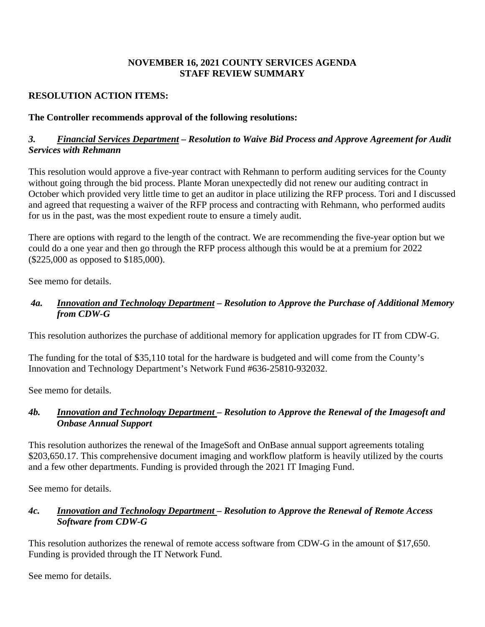## **NOVEMBER 16, 2021 COUNTY SERVICES AGENDA STAFF REVIEW SUMMARY**

# **RESOLUTION ACTION ITEMS:**

# **The Controller recommends approval of the following resolutions:**

# *3. Financial Services Department – Resolution to Waive Bid Process and Approve Agreement for Audit Services with Rehmann*

This resolution would approve a five-year contract with Rehmann to perform auditing services for the County without going through the bid process. Plante Moran unexpectedly did not renew our auditing contract in October which provided very little time to get an auditor in place utilizing the RFP process. Tori and I discussed and agreed that requesting a waiver of the RFP process and contracting with Rehmann, who performed audits for us in the past, was the most expedient route to ensure a timely audit.

There are options with regard to the length of the contract. We are recommending the five-year option but we could do a one year and then go through the RFP process although this would be at a premium for 2022 (\$225,000 as opposed to \$185,000).

See memo for details.

# *4a. Innovation and Technology Department – Resolution to Approve the Purchase of Additional Memory from CDW-G*

This resolution authorizes the purchase of additional memory for application upgrades for IT from CDW-G.

The funding for the total of \$35,110 total for the hardware is budgeted and will come from the County's Innovation and Technology Department's Network Fund #636-25810-932032.

See memo for details.

## *4b. Innovation and Technology Department – Resolution to Approve the Renewal of the Imagesoft and Onbase Annual Support*

This resolution authorizes the renewal of the ImageSoft and OnBase annual support agreements totaling \$203,650.17. This comprehensive document imaging and workflow platform is heavily utilized by the courts and a few other departments. Funding is provided through the 2021 IT Imaging Fund.

See memo for details.

# *4c. Innovation and Technology Department – Resolution to Approve the Renewal of Remote Access Software from CDW-G*

This resolution authorizes the renewal of remote access software from CDW-G in the amount of \$17,650. Funding is provided through the IT Network Fund.

See memo for details.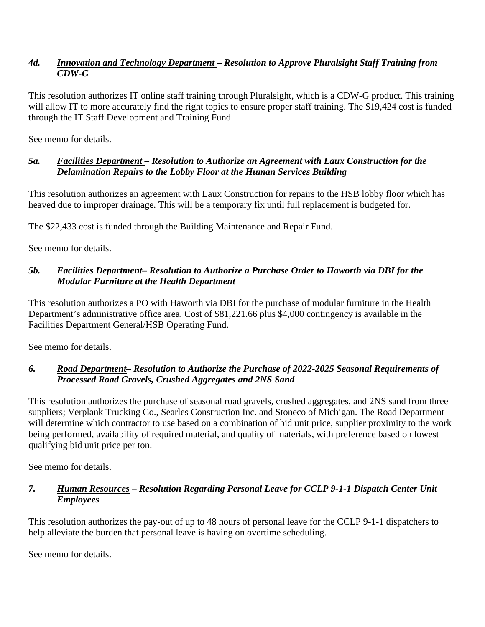## *4d. Innovation and Technology Department – Resolution to Approve Pluralsight Staff Training from CDW-G*

This resolution authorizes IT online staff training through Pluralsight, which is a CDW-G product. This training will allow IT to more accurately find the right topics to ensure proper staff training. The \$19,424 cost is funded through the IT Staff Development and Training Fund.

See memo for details.

## *5a. Facilities Department – Resolution to Authorize an Agreement with Laux Construction for the Delamination Repairs to the Lobby Floor at the Human Services Building*

This resolution authorizes an agreement with Laux Construction for repairs to the HSB lobby floor which has heaved due to improper drainage. This will be a temporary fix until full replacement is budgeted for.

The \$22,433 cost is funded through the Building Maintenance and Repair Fund.

See memo for details.

# *5b. Facilities Department– Resolution to Authorize a Purchase Order to Haworth via DBI for the Modular Furniture at the Health Department*

This resolution authorizes a PO with Haworth via DBI for the purchase of modular furniture in the Health Department's administrative office area. Cost of \$81,221.66 plus \$4,000 contingency is available in the Facilities Department General/HSB Operating Fund.

See memo for details.

# *6. Road Department– Resolution to Authorize the Purchase of 2022-2025 Seasonal Requirements of Processed Road Gravels, Crushed Aggregates and 2NS Sand*

This resolution authorizes the purchase of seasonal road gravels, crushed aggregates, and 2NS sand from three suppliers; Verplank Trucking Co., Searles Construction Inc. and Stoneco of Michigan. The Road Department will determine which contractor to use based on a combination of bid unit price, supplier proximity to the work being performed, availability of required material, and quality of materials, with preference based on lowest qualifying bid unit price per ton.

See memo for details.

# *7. Human Resources – Resolution Regarding Personal Leave for CCLP 9-1-1 Dispatch Center Unit Employees*

This resolution authorizes the pay-out of up to 48 hours of personal leave for the CCLP 9-1-1 dispatchers to help alleviate the burden that personal leave is having on overtime scheduling.

See memo for details.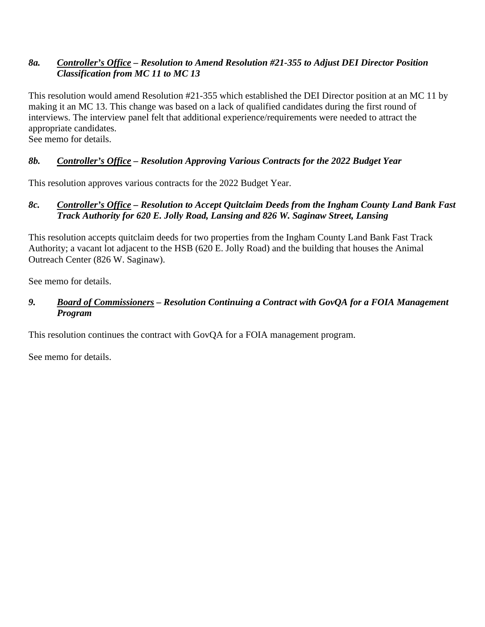# *8a. Controller's Office – Resolution to Amend Resolution #21-355 to Adjust DEI Director Position Classification from MC 11 to MC 13*

This resolution would amend Resolution #21-355 which established the DEI Director position at an MC 11 by making it an MC 13. This change was based on a lack of qualified candidates during the first round of interviews. The interview panel felt that additional experience/requirements were needed to attract the appropriate candidates.

See memo for details.

# *8b. Controller's Office – Resolution Approving Various Contracts for the 2022 Budget Year*

This resolution approves various contracts for the 2022 Budget Year.

# *8c. Controller's Office – Resolution to Accept Quitclaim Deeds from the Ingham County Land Bank Fast Track Authority for 620 E. Jolly Road, Lansing and 826 W. Saginaw Street, Lansing*

This resolution accepts quitclaim deeds for two properties from the Ingham County Land Bank Fast Track Authority; a vacant lot adjacent to the HSB (620 E. Jolly Road) and the building that houses the Animal Outreach Center (826 W. Saginaw).

See memo for details.

# *9. Board of Commissioners – Resolution Continuing a Contract with GovQA for a FOIA Management Program*

This resolution continues the contract with GovQA for a FOIA management program.

See memo for details.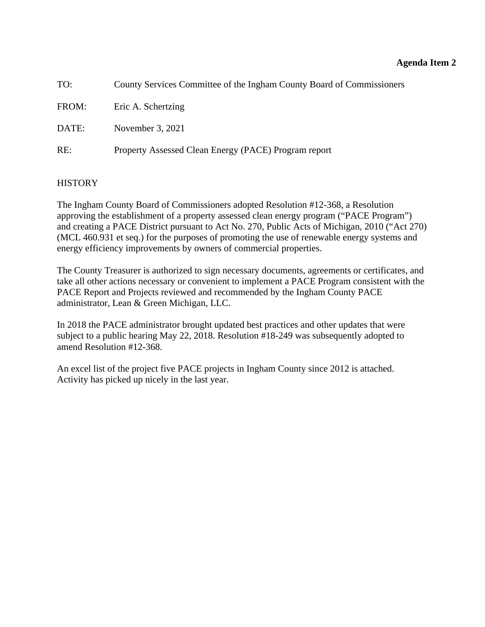<span id="page-10-0"></span>

| TO:   | County Services Committee of the Ingham County Board of Commissioners |
|-------|-----------------------------------------------------------------------|
| FROM: | Eric A. Schertzing                                                    |
| DATE: | November 3, 2021                                                      |
| RE:   | Property Assessed Clean Energy (PACE) Program report                  |

## **HISTORY**

The Ingham County Board of Commissioners adopted Resolution #12-368, a Resolution approving the establishment of a property assessed clean energy program ("PACE Program") and creating a PACE District pursuant to Act No. 270, Public Acts of Michigan, 2010 ("Act 270) (MCL 460.931 et seq.) for the purposes of promoting the use of renewable energy systems and energy efficiency improvements by owners of commercial properties.

The County Treasurer is authorized to sign necessary documents, agreements or certificates, and take all other actions necessary or convenient to implement a PACE Program consistent with the PACE Report and Projects reviewed and recommended by the Ingham County PACE administrator, Lean & Green Michigan, LLC.

In 2018 the PACE administrator brought updated best practices and other updates that were subject to a public hearing May 22, 2018. Resolution #18-249 was subsequently adopted to amend Resolution #12-368.

An excel list of the project five PACE projects in Ingham County since 2012 is attached. Activity has picked up nicely in the last year.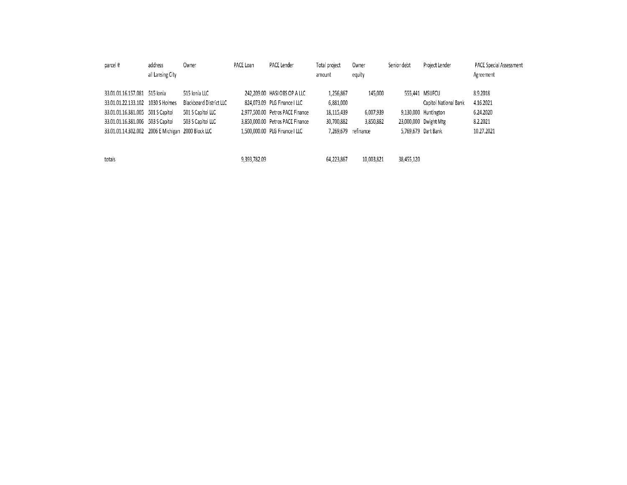| parcel#                                            | address          | Owner                   | PACE Loan    | PACE Lender                      | Total project | Owner      | Senior debt | Project Lender        | PACE Special Assessment |
|----------------------------------------------------|------------------|-------------------------|--------------|----------------------------------|---------------|------------|-------------|-----------------------|-------------------------|
|                                                    | all Lansing City |                         |              |                                  | amount        | equity     |             |                       | Agreement               |
|                                                    |                  |                         |              |                                  |               |            |             |                       |                         |
| 33.01.01.16.157.081 515 lonia                      |                  | 515 Ionia LLC           |              | 242,209.00 HASI OBS OP A LLC     | 1,256,867     | 145,000    |             | 555,441 MSUFCU        | 8.9.2018                |
| 33.01.01.22.133.102 1030 S Holmes                  |                  | Blackboard District LLC |              | 824,073.09 PLG Finance   LLC     | 6,881,000     |            |             | Capitol National Bank | 4.16.2021               |
| 33.01.01.16.381.005 501 S Capitol                  |                  | 501 S Capitol LLC       |              | 2.977.500.00 Petros PACE Finance | 18.115.439    | 6,007,939  |             | 9,130,000 Huntington  | 6.24.2020               |
| 33.01.01.16.381.006 503 S Capitol                  |                  | 503 S Capitol LLC       |              | 3,850,000.00 Petros PACE Finance | 30,700,882    | 3,850,882  |             | 23,000,000 Dwight Mtg | 8.2.2021                |
| 33.01.01.14.302.002 2006 E Michigan 2000 Block LLC |                  |                         |              | 1,500,000.00 PLG Finance   LLC   | 7,269,679     | refinance  |             | 5,769,679 Dart Bank   | 10.27.2021              |
|                                                    |                  |                         |              |                                  |               |            |             |                       |                         |
|                                                    |                  |                         |              |                                  |               |            |             |                       |                         |
| totals                                             |                  |                         | 9,393,782.09 |                                  | 64.223.867    | 10,003,821 | 38,455,120  |                       |                         |
|                                                    |                  |                         |              |                                  |               |            |             |                       |                         |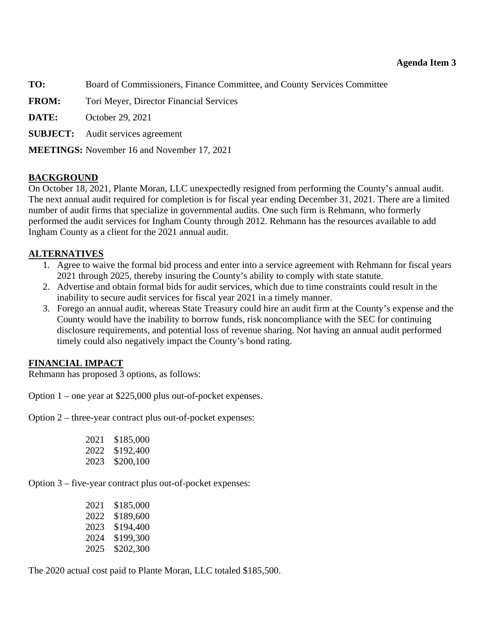## **Agenda Item 3**

<span id="page-12-0"></span>**TO:** Board of Commissioners, Finance Committee, and County Services Committee

**FROM:** Tori Meyer, Director Financial Services

**DATE:** October 29, 2021

**SUBJECT:** Audit services agreement

**MEETINGS:** November 16 and November 17, 2021

#### **BACKGROUND**

On October 18, 2021, Plante Moran, LLC unexpectedly resigned from performing the County's annual audit. The next annual audit required for completion is for fiscal year ending December 31, 2021. There are a limited number of audit firms that specialize in governmental audits. One such firm is Rehmann, who formerly performed the audit services for Ingham County through 2012. Rehmann has the resources available to add Ingham County as a client for the 2021 annual audit.

#### **ALTERNATIVES**

- 1. Agree to waive the formal bid process and enter into a service agreement with Rehmann for fiscal years 2021 through 2025, thereby insuring the County's ability to comply with state statute.
- 2. Advertise and obtain formal bids for audit services, which due to time constraints could result in the inability to secure audit services for fiscal year 2021 in a timely manner.
- 3. Forego an annual audit, whereas State Treasury could hire an audit firm at the County's expense and the County would have the inability to borrow funds, risk noncompliance with the SEC for continuing disclosure requirements, and potential loss of revenue sharing. Not having an annual audit performed timely could also negatively impact the County's bond rating.

#### **FINANCIAL IMPACT**

Rehmann has proposed 3 options, as follows:

Option 1 – one year at \$225,000 plus out-of-pocket expenses.

Option 2 – three-year contract plus out-of-pocket expenses:

|  | 2021 \$185,000 |
|--|----------------|
|  | 2022 \$192,400 |
|  | 2023 \$200,100 |

Option 3 – five-year contract plus out-of-pocket expenses:

| 2021 | \$185,000 |
|------|-----------|
| 2022 | \$189,600 |
| 2023 | \$194,400 |
| 2024 | \$199,300 |
| 2025 | \$202,300 |

The 2020 actual cost paid to Plante Moran, LLC totaled \$185,500.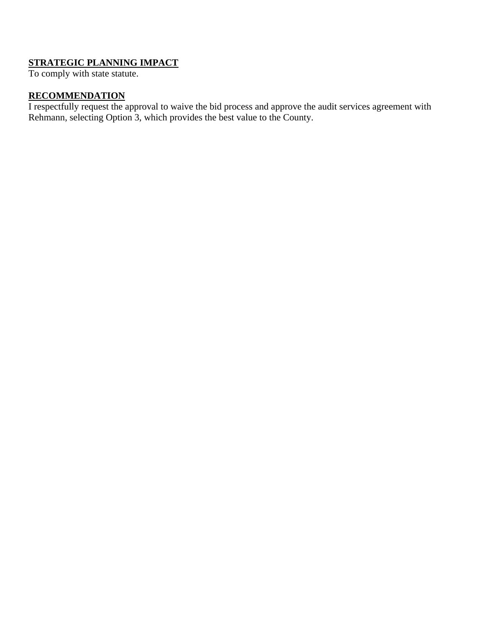# **STRATEGIC PLANNING IMPACT**

To comply with state statute.

# **RECOMMENDATION**

I respectfully request the approval to waive the bid process and approve the audit services agreement with Rehmann, selecting Option 3, which provides the best value to the County.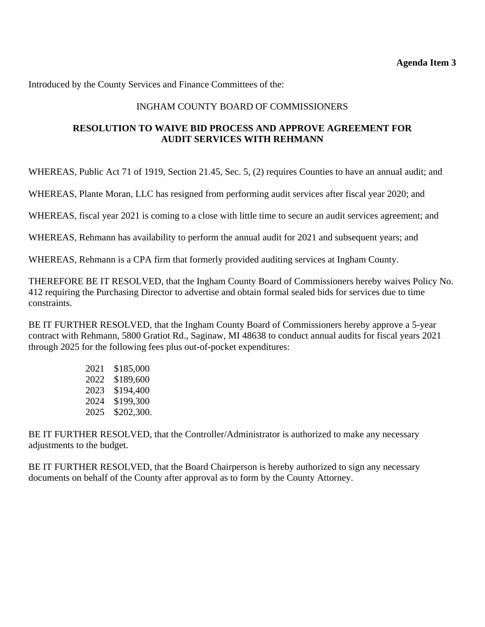Introduced by the County Services and Finance Committees of the:

## INGHAM COUNTY BOARD OF COMMISSIONERS

## **RESOLUTION TO WAIVE BID PROCESS AND APPROVE AGREEMENT FOR AUDIT SERVICES WITH REHMANN**

WHEREAS, Public Act 71 of 1919, Section 21.45, Sec. 5, (2) requires Counties to have an annual audit; and

WHEREAS, Plante Moran, LLC has resigned from performing audit services after fiscal year 2020; and

WHEREAS, fiscal year 2021 is coming to a close with little time to secure an audit services agreement; and

WHEREAS, Rehmann has availability to perform the annual audit for 2021 and subsequent years; and

WHEREAS, Rehmann is a CPA firm that formerly provided auditing services at Ingham County.

THEREFORE BE IT RESOLVED, that the Ingham County Board of Commissioners hereby waives Policy No. 412 requiring the Purchasing Director to advertise and obtain formal sealed bids for services due to time constraints.

BE IT FURTHER RESOLVED, that the Ingham County Board of Commissioners hereby approve a 5-year contract with Rehmann, 5800 Gratiot Rd., Saginaw, MI 48638 to conduct annual audits for fiscal years 2021 through 2025 for the following fees plus out-of-pocket expenditures:

| 2021 | \$185,000  |
|------|------------|
| 2022 | \$189,600  |
| 2023 | \$194,400  |
| 2024 | \$199,300  |
| 2025 | \$202,300. |

BE IT FURTHER RESOLVED, that the Controller/Administrator is authorized to make any necessary adjustments to the budget.

BE IT FURTHER RESOLVED, that the Board Chairperson is hereby authorized to sign any necessary documents on behalf of the County after approval as to form by the County Attorney.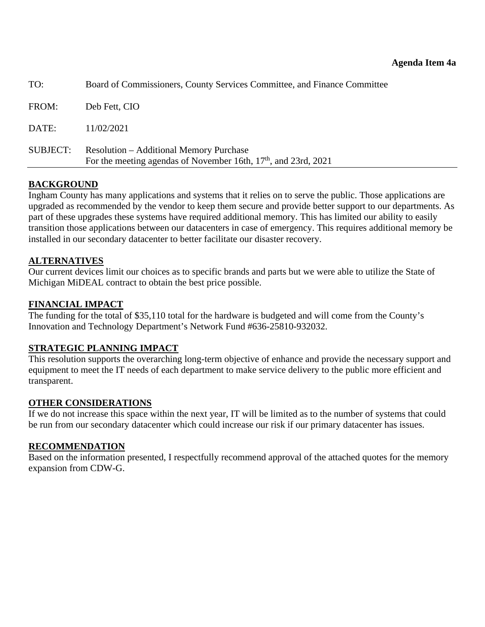<span id="page-15-0"></span>

| TO:      | Board of Commissioners, County Services Committee, and Finance Committee                                            |
|----------|---------------------------------------------------------------------------------------------------------------------|
| FROM:    | Deb Fett, CIO                                                                                                       |
| DATE:    | 11/02/2021                                                                                                          |
| SUBJECT: | <b>Resolution – Additional Memory Purchase</b><br>For the meeting agendas of November 16th, $17th$ , and 23rd, 2021 |

## **BACKGROUND**

Ingham County has many applications and systems that it relies on to serve the public. Those applications are upgraded as recommended by the vendor to keep them secure and provide better support to our departments. As part of these upgrades these systems have required additional memory. This has limited our ability to easily transition those applications between our datacenters in case of emergency. This requires additional memory be installed in our secondary datacenter to better facilitate our disaster recovery.

## **ALTERNATIVES**

Our current devices limit our choices as to specific brands and parts but we were able to utilize the State of Michigan MiDEAL contract to obtain the best price possible.

#### **FINANCIAL IMPACT**

The funding for the total of \$35,110 total for the hardware is budgeted and will come from the County's Innovation and Technology Department's Network Fund #636-25810-932032.

## **STRATEGIC PLANNING IMPACT**

This resolution supports the overarching long-term objective of enhance and provide the necessary support and equipment to meet the IT needs of each department to make service delivery to the public more efficient and transparent.

#### **OTHER CONSIDERATIONS**

If we do not increase this space within the next year, IT will be limited as to the number of systems that could be run from our secondary datacenter which could increase our risk if our primary datacenter has issues.

## **RECOMMENDATION**

Based on the information presented, I respectfully recommend approval of the attached quotes for the memory expansion from CDW-G.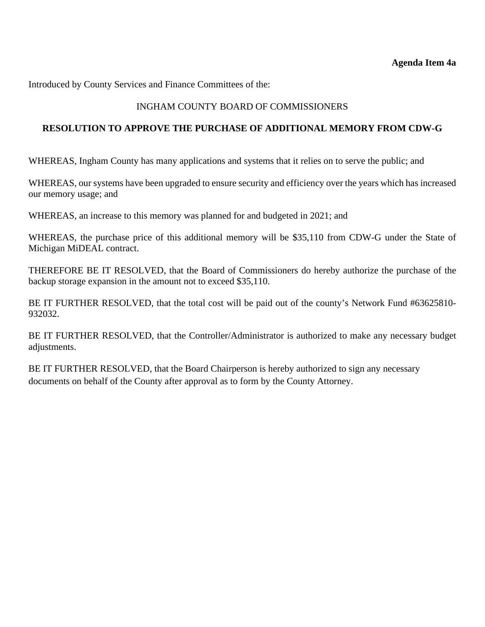Introduced by County Services and Finance Committees of the:

# INGHAM COUNTY BOARD OF COMMISSIONERS

## **RESOLUTION TO APPROVE THE PURCHASE OF ADDITIONAL MEMORY FROM CDW-G**

WHEREAS, Ingham County has many applications and systems that it relies on to serve the public; and

WHEREAS, our systems have been upgraded to ensure security and efficiency over the years which has increased our memory usage; and

WHEREAS, an increase to this memory was planned for and budgeted in 2021; and

WHEREAS, the purchase price of this additional memory will be \$35,110 from CDW-G under the State of Michigan MiDEAL contract.

THEREFORE BE IT RESOLVED, that the Board of Commissioners do hereby authorize the purchase of the backup storage expansion in the amount not to exceed \$35,110.

BE IT FURTHER RESOLVED, that the total cost will be paid out of the county's Network Fund #63625810- 932032.

BE IT FURTHER RESOLVED, that the Controller/Administrator is authorized to make any necessary budget adjustments.

BE IT FURTHER RESOLVED, that the Board Chairperson is hereby authorized to sign any necessary documents on behalf of the County after approval as to form by the County Attorney.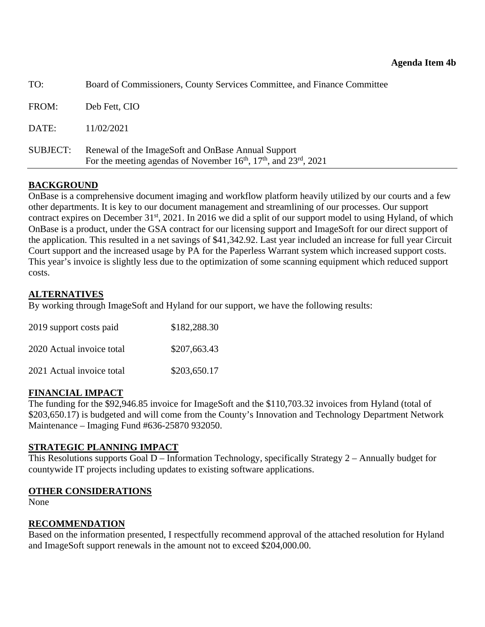<span id="page-17-0"></span>

| TO:             | Board of Commissioners, County Services Committee, and Finance Committee                                                        |
|-----------------|---------------------------------------------------------------------------------------------------------------------------------|
| FROM:           | Deb Fett, CIO                                                                                                                   |
| DATE:           | 11/02/2021                                                                                                                      |
| <b>SUBJECT:</b> | Renewal of the ImageSoft and OnBase Annual Support<br>For the meeting agendas of November $16th$ , $17th$ , and $23rd$ , $2021$ |

# **BACKGROUND**

OnBase is a comprehensive document imaging and workflow platform heavily utilized by our courts and a few other departments. It is key to our document management and streamlining of our processes. Our support contract expires on December 31<sup>st</sup>, 2021. In 2016 we did a split of our support model to using Hyland, of which OnBase is a product, under the GSA contract for our licensing support and ImageSoft for our direct support of the application. This resulted in a net savings of \$41,342.92. Last year included an increase for full year Circuit Court support and the increased usage by PA for the Paperless Warrant system which increased support costs. This year's invoice is slightly less due to the optimization of some scanning equipment which reduced support costs.

# **ALTERNATIVES**

By working through ImageSoft and Hyland for our support, we have the following results:

| 2019 support costs paid   | \$182,288.30 |
|---------------------------|--------------|
| 2020 Actual invoice total | \$207,663.43 |
| 2021 Actual invoice total | \$203,650.17 |

## **FINANCIAL IMPACT**

The funding for the \$92,946.85 invoice for ImageSoft and the \$110,703.32 invoices from Hyland (total of \$203,650.17) is budgeted and will come from the County's Innovation and Technology Department Network Maintenance – Imaging Fund #636-25870 932050.

## **STRATEGIC PLANNING IMPACT**

This Resolutions supports Goal D – Information Technology, specifically Strategy 2 – Annually budget for countywide IT projects including updates to existing software applications.

## **OTHER CONSIDERATIONS**

None

## **RECOMMENDATION**

Based on the information presented, I respectfully recommend approval of the attached resolution for Hyland and ImageSoft support renewals in the amount not to exceed \$204,000.00.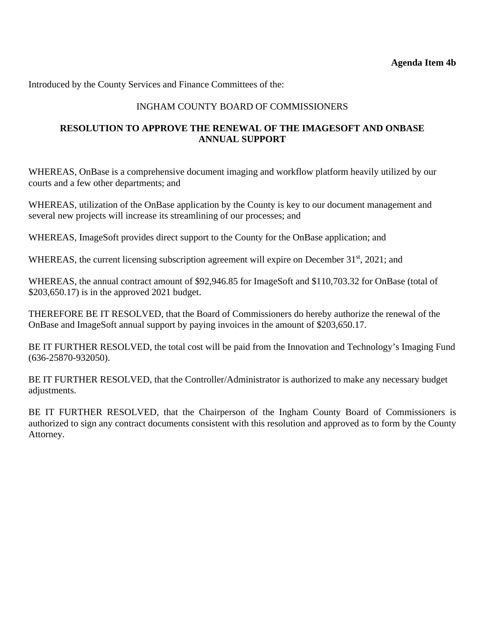Introduced by the County Services and Finance Committees of the:

# INGHAM COUNTY BOARD OF COMMISSIONERS

# **RESOLUTION TO APPROVE THE RENEWAL OF THE IMAGESOFT AND ONBASE ANNUAL SUPPORT**

WHEREAS, OnBase is a comprehensive document imaging and workflow platform heavily utilized by our courts and a few other departments; and

WHEREAS, utilization of the OnBase application by the County is key to our document management and several new projects will increase its streamlining of our processes; and

WHEREAS, ImageSoft provides direct support to the County for the OnBase application; and

WHEREAS, the current licensing subscription agreement will expire on December  $31<sup>st</sup>$ , 2021; and

WHEREAS, the annual contract amount of \$92,946.85 for ImageSoft and \$110,703.32 for OnBase (total of \$203,650.17) is in the approved 2021 budget.

THEREFORE BE IT RESOLVED, that the Board of Commissioners do hereby authorize the renewal of the OnBase and ImageSoft annual support by paying invoices in the amount of \$203,650.17.

BE IT FURTHER RESOLVED, the total cost will be paid from the Innovation and Technology's Imaging Fund (636-25870-932050).

BE IT FURTHER RESOLVED, that the Controller/Administrator is authorized to make any necessary budget adjustments.

BE IT FURTHER RESOLVED, that the Chairperson of the Ingham County Board of Commissioners is authorized to sign any contract documents consistent with this resolution and approved as to form by the County Attorney.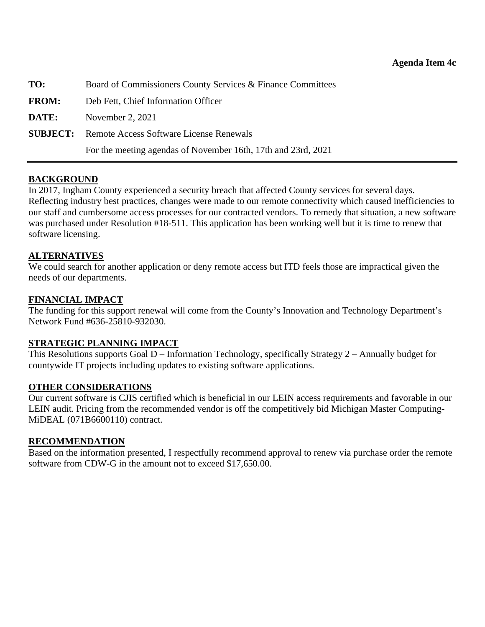<span id="page-19-0"></span>

| TO:          | Board of Commissioners County Services & Finance Committees   |
|--------------|---------------------------------------------------------------|
| <b>FROM:</b> | Deb Fett, Chief Information Officer                           |
| DATE:        | November 2, $2021$                                            |
|              | <b>SUBJECT:</b> Remote Access Software License Renewals       |
|              | For the meeting agendas of November 16th, 17th and 23rd, 2021 |

#### **BACKGROUND**

In 2017, Ingham County experienced a security breach that affected County services for several days. Reflecting industry best practices, changes were made to our remote connectivity which caused inefficiencies to our staff and cumbersome access processes for our contracted vendors. To remedy that situation, a new software was purchased under Resolution #18-511. This application has been working well but it is time to renew that software licensing.

#### **ALTERNATIVES**

We could search for another application or deny remote access but ITD feels those are impractical given the needs of our departments.

#### **FINANCIAL IMPACT**

The funding for this support renewal will come from the County's Innovation and Technology Department's Network Fund #636-25810-932030.

#### **STRATEGIC PLANNING IMPACT**

This Resolutions supports Goal D – Information Technology, specifically Strategy 2 – Annually budget for countywide IT projects including updates to existing software applications.

#### **OTHER CONSIDERATIONS**

Our current software is CJIS certified which is beneficial in our LEIN access requirements and favorable in our LEIN audit. Pricing from the recommended vendor is off the competitively bid Michigan Master Computing-MiDEAL (071B6600110) contract.

#### **RECOMMENDATION**

Based on the information presented, I respectfully recommend approval to renew via purchase order the remote software from CDW-G in the amount not to exceed \$17,650.00.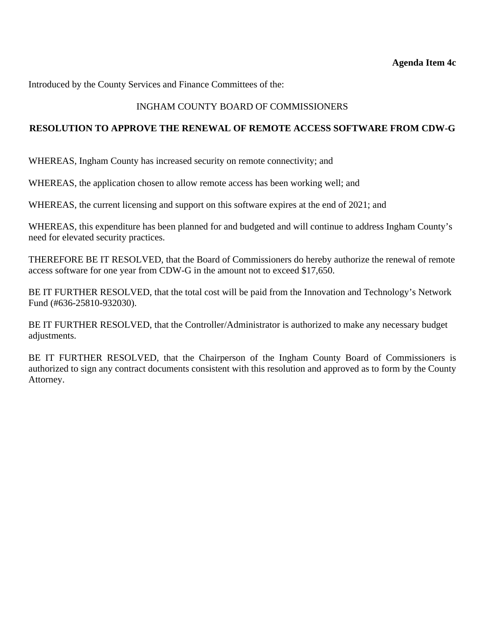#### **Agenda Item 4c**

Introduced by the County Services and Finance Committees of the:

## INGHAM COUNTY BOARD OF COMMISSIONERS

#### **RESOLUTION TO APPROVE THE RENEWAL OF REMOTE ACCESS SOFTWARE FROM CDW-G**

WHEREAS, Ingham County has increased security on remote connectivity; and

WHEREAS, the application chosen to allow remote access has been working well; and

WHEREAS, the current licensing and support on this software expires at the end of 2021; and

WHEREAS, this expenditure has been planned for and budgeted and will continue to address Ingham County's need for elevated security practices.

THEREFORE BE IT RESOLVED, that the Board of Commissioners do hereby authorize the renewal of remote access software for one year from CDW-G in the amount not to exceed \$17,650.

BE IT FURTHER RESOLVED, that the total cost will be paid from the Innovation and Technology's Network Fund (#636-25810-932030).

BE IT FURTHER RESOLVED, that the Controller/Administrator is authorized to make any necessary budget adjustments.

BE IT FURTHER RESOLVED, that the Chairperson of the Ingham County Board of Commissioners is authorized to sign any contract documents consistent with this resolution and approved as to form by the County Attorney.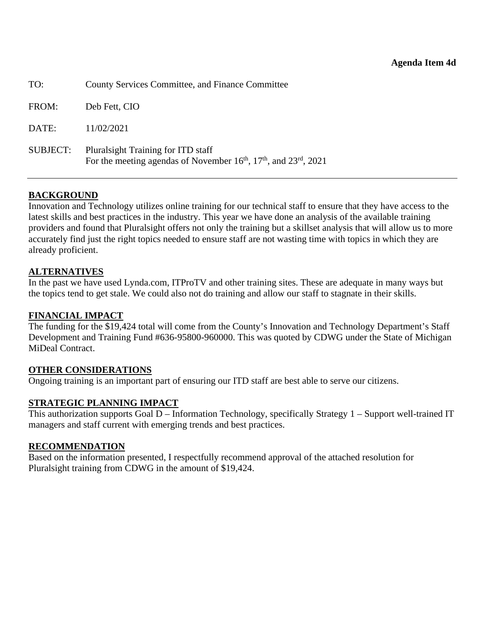<span id="page-21-0"></span>

| TO:             | <b>County Services Committee, and Finance Committee</b>                                                          |
|-----------------|------------------------------------------------------------------------------------------------------------------|
| FROM:           | Deb Fett, CIO                                                                                                    |
| DATE:           | 11/02/2021                                                                                                       |
| <b>SUBJECT:</b> | Plural sight Training for ITD staff<br>For the meeting agendas of November $16th$ , $17th$ , and $23rd$ , $2021$ |

## **BACKGROUND**

Innovation and Technology utilizes online training for our technical staff to ensure that they have access to the latest skills and best practices in the industry. This year we have done an analysis of the available training providers and found that Pluralsight offers not only the training but a skillset analysis that will allow us to more accurately find just the right topics needed to ensure staff are not wasting time with topics in which they are already proficient.

#### **ALTERNATIVES**

In the past we have used Lynda.com, ITProTV and other training sites. These are adequate in many ways but the topics tend to get stale. We could also not do training and allow our staff to stagnate in their skills.

## **FINANCIAL IMPACT**

The funding for the \$19,424 total will come from the County's Innovation and Technology Department's Staff Development and Training Fund #636-95800-960000. This was quoted by CDWG under the State of Michigan MiDeal Contract.

#### **OTHER CONSIDERATIONS**

Ongoing training is an important part of ensuring our ITD staff are best able to serve our citizens.

#### **STRATEGIC PLANNING IMPACT**

This authorization supports Goal D – Information Technology, specifically Strategy 1 – Support well-trained IT managers and staff current with emerging trends and best practices.

#### **RECOMMENDATION**

Based on the information presented, I respectfully recommend approval of the attached resolution for Pluralsight training from CDWG in the amount of \$19,424.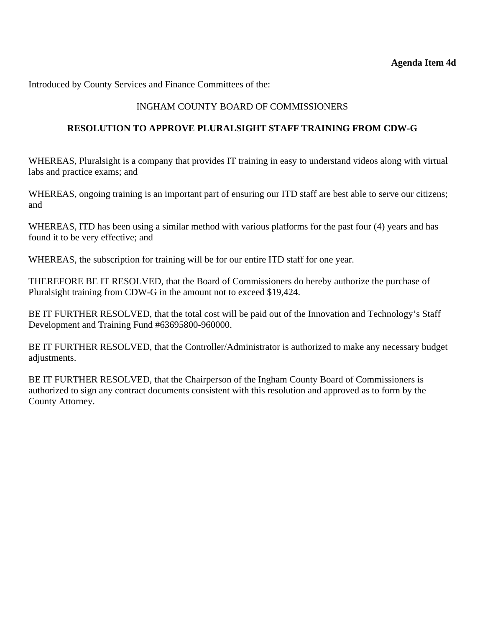Introduced by County Services and Finance Committees of the:

# INGHAM COUNTY BOARD OF COMMISSIONERS

## **RESOLUTION TO APPROVE PLURALSIGHT STAFF TRAINING FROM CDW-G**

WHEREAS, Pluralsight is a company that provides IT training in easy to understand videos along with virtual labs and practice exams; and

WHEREAS, ongoing training is an important part of ensuring our ITD staff are best able to serve our citizens; and

WHEREAS, ITD has been using a similar method with various platforms for the past four (4) years and has found it to be very effective; and

WHEREAS, the subscription for training will be for our entire ITD staff for one year.

THEREFORE BE IT RESOLVED, that the Board of Commissioners do hereby authorize the purchase of Pluralsight training from CDW-G in the amount not to exceed \$19,424.

BE IT FURTHER RESOLVED, that the total cost will be paid out of the Innovation and Technology's Staff Development and Training Fund #63695800-960000.

BE IT FURTHER RESOLVED, that the Controller/Administrator is authorized to make any necessary budget adjustments.

BE IT FURTHER RESOLVED, that the Chairperson of the Ingham County Board of Commissioners is authorized to sign any contract documents consistent with this resolution and approved as to form by the County Attorney.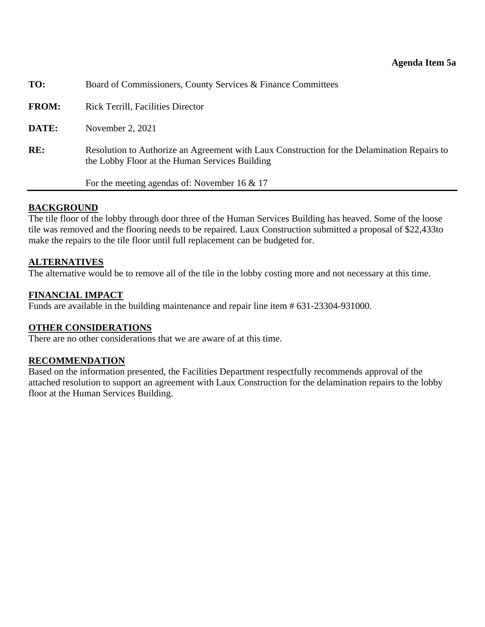<span id="page-23-0"></span>

| TO:          | Board of Commissioners, County Services & Finance Committees                                                                                  |
|--------------|-----------------------------------------------------------------------------------------------------------------------------------------------|
| <b>FROM:</b> | <b>Rick Terrill, Facilities Director</b>                                                                                                      |
| DATE:        | November 2, 2021                                                                                                                              |
| RE:          | Resolution to Authorize an Agreement with Laux Construction for the Delamination Repairs to<br>the Lobby Floor at the Human Services Building |
|              | For the meeting agendas of: November 16 $& 17$                                                                                                |

#### **BACKGROUND**

The tile floor of the lobby through door three of the Human Services Building has heaved. Some of the loose tile was removed and the flooring needs to be repaired. Laux Construction submitted a proposal of \$22,433to make the repairs to the tile floor until full replacement can be budgeted for.

#### **ALTERNATIVES**

The alternative would be to remove all of the tile in the lobby costing more and not necessary at this time.

#### **FINANCIAL IMPACT**

Funds are available in the building maintenance and repair line item # 631-23304-931000.

#### **OTHER CONSIDERATIONS**

There are no other considerations that we are aware of at this time.

#### **RECOMMENDATION**

Based on the information presented, the Facilities Department respectfully recommends approval of the attached resolution to support an agreement with Laux Construction for the delamination repairs to the lobby floor at the Human Services Building.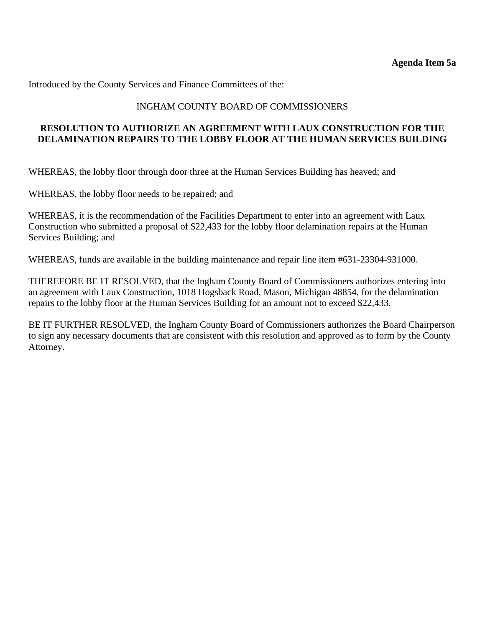Introduced by the County Services and Finance Committees of the:

## INGHAM COUNTY BOARD OF COMMISSIONERS

## **RESOLUTION TO AUTHORIZE AN AGREEMENT WITH LAUX CONSTRUCTION FOR THE DELAMINATION REPAIRS TO THE LOBBY FLOOR AT THE HUMAN SERVICES BUILDING**

WHEREAS, the lobby floor through door three at the Human Services Building has heaved; and

WHEREAS, the lobby floor needs to be repaired; and

WHEREAS, it is the recommendation of the Facilities Department to enter into an agreement with Laux Construction who submitted a proposal of \$22,433 for the lobby floor delamination repairs at the Human Services Building; and

WHEREAS, funds are available in the building maintenance and repair line item #631-23304-931000.

THEREFORE BE IT RESOLVED, that the Ingham County Board of Commissioners authorizes entering into an agreement with Laux Construction, 1018 Hogsback Road, Mason, Michigan 48854, for the delamination repairs to the lobby floor at the Human Services Building for an amount not to exceed \$22,433.

BE IT FURTHER RESOLVED, the Ingham County Board of Commissioners authorizes the Board Chairperson to sign any necessary documents that are consistent with this resolution and approved as to form by the County Attorney.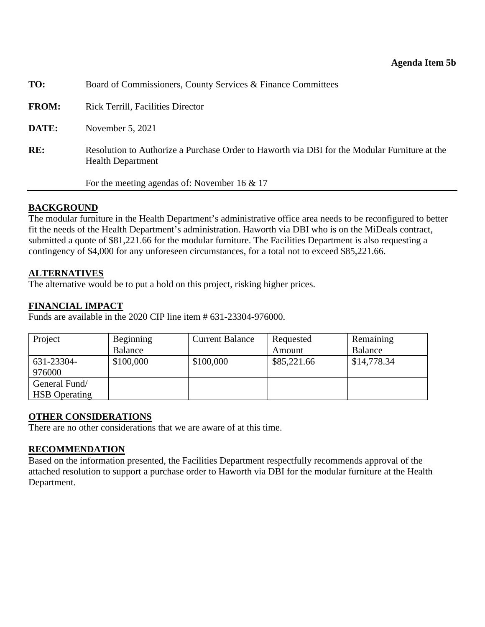<span id="page-25-0"></span>

|              | For the meeting agendas of: November 16 $\&$ 17                                                                          |
|--------------|--------------------------------------------------------------------------------------------------------------------------|
| RE:          | Resolution to Authorize a Purchase Order to Haworth via DBI for the Modular Furniture at the<br><b>Health Department</b> |
| DATE:        | November 5, 2021                                                                                                         |
| <b>FROM:</b> | <b>Rick Terrill, Facilities Director</b>                                                                                 |
| TO:          | Board of Commissioners, County Services & Finance Committees                                                             |

#### **BACKGROUND**

The modular furniture in the Health Department's administrative office area needs to be reconfigured to better fit the needs of the Health Department's administration. Haworth via DBI who is on the MiDeals contract, submitted a quote of \$81,221.66 for the modular furniture. The Facilities Department is also requesting a contingency of \$4,000 for any unforeseen circumstances, for a total not to exceed \$85,221.66.

#### **ALTERNATIVES**

The alternative would be to put a hold on this project, risking higher prices.

#### **FINANCIAL IMPACT**

Funds are available in the 2020 CIP line item # 631-23304-976000.

| Project              | Beginning | <b>Current Balance</b> | Requested   | Remaining   |
|----------------------|-----------|------------------------|-------------|-------------|
|                      | Balance   |                        | Amount      | Balance     |
| 631-23304-           | \$100,000 | \$100,000              | \$85,221.66 | \$14,778.34 |
| 976000               |           |                        |             |             |
| General Fund/        |           |                        |             |             |
| <b>HSB</b> Operating |           |                        |             |             |

#### **OTHER CONSIDERATIONS**

There are no other considerations that we are aware of at this time.

#### **RECOMMENDATION**

Based on the information presented, the Facilities Department respectfully recommends approval of the attached resolution to support a purchase order to Haworth via DBI for the modular furniture at the Health Department.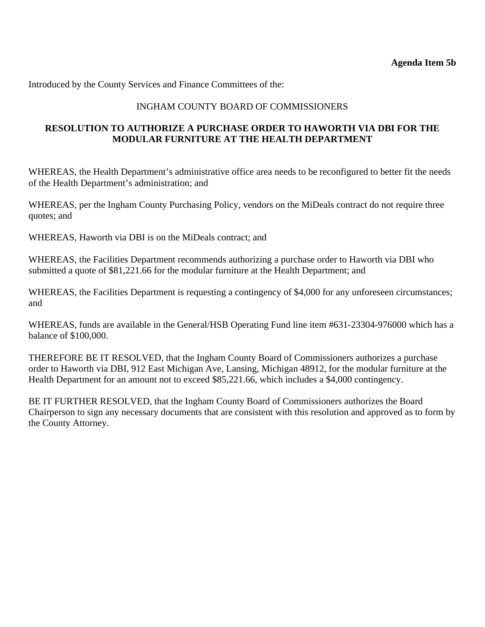Introduced by the County Services and Finance Committees of the:

## INGHAM COUNTY BOARD OF COMMISSIONERS

## **RESOLUTION TO AUTHORIZE A PURCHASE ORDER TO HAWORTH VIA DBI FOR THE MODULAR FURNITURE AT THE HEALTH DEPARTMENT**

WHEREAS, the Health Department's administrative office area needs to be reconfigured to better fit the needs of the Health Department's administration; and

WHEREAS, per the Ingham County Purchasing Policy, vendors on the MiDeals contract do not require three quotes; and

WHEREAS, Haworth via DBI is on the MiDeals contract; and

WHEREAS, the Facilities Department recommends authorizing a purchase order to Haworth via DBI who submitted a quote of \$81,221.66 for the modular furniture at the Health Department; and

WHEREAS, the Facilities Department is requesting a contingency of \$4,000 for any unforeseen circumstances; and

WHEREAS, funds are available in the General/HSB Operating Fund line item #631-23304-976000 which has a balance of \$100,000.

THEREFORE BE IT RESOLVED, that the Ingham County Board of Commissioners authorizes a purchase order to Haworth via DBI, 912 East Michigan Ave, Lansing, Michigan 48912, for the modular furniture at the Health Department for an amount not to exceed \$85,221.66, which includes a \$4,000 contingency.

BE IT FURTHER RESOLVED, that the Ingham County Board of Commissioners authorizes the Board Chairperson to sign any necessary documents that are consistent with this resolution and approved as to form by the County Attorney.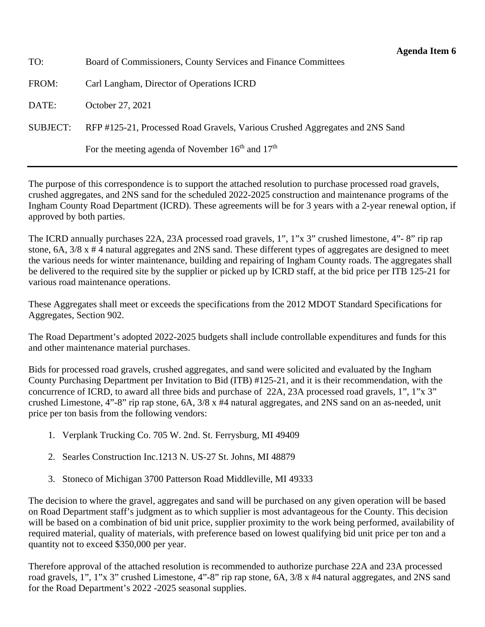<span id="page-27-0"></span>TO: Board of Commissioners, County Services and Finance Committees

FROM: Carl Langham, Director of Operations ICRD

DATE: October 27, 2021

SUBJECT: RFP #125-21, Processed Road Gravels, Various Crushed Aggregates and 2NS Sand

For the meeting agenda of November  $16<sup>th</sup>$  and  $17<sup>th</sup>$ 

The purpose of this correspondence is to support the attached resolution to purchase processed road gravels, crushed aggregates, and 2NS sand for the scheduled 2022-2025 construction and maintenance programs of the Ingham County Road Department (ICRD). These agreements will be for 3 years with a 2-year renewal option, if approved by both parties.

The ICRD annually purchases 22A, 23A processed road gravels, 1", 1"x 3" crushed limestone, 4"- 8" rip rap stone, 6A, 3/8 x # 4 natural aggregates and 2NS sand. These different types of aggregates are designed to meet the various needs for winter maintenance, building and repairing of Ingham County roads. The aggregates shall be delivered to the required site by the supplier or picked up by ICRD staff, at the bid price per ITB 125-21 for various road maintenance operations.

These Aggregates shall meet or exceeds the specifications from the 2012 MDOT Standard Specifications for Aggregates, Section 902.

The Road Department's adopted 2022-2025 budgets shall include controllable expenditures and funds for this and other maintenance material purchases.

Bids for processed road gravels, crushed aggregates, and sand were solicited and evaluated by the Ingham County Purchasing Department per Invitation to Bid (ITB) #125-21, and it is their recommendation, with the concurrence of ICRD, to award all three bids and purchase of 22A, 23A processed road gravels, 1", 1"x 3" crushed Limestone, 4"-8" rip rap stone, 6A, 3/8 x #4 natural aggregates, and 2NS sand on an as-needed, unit price per ton basis from the following vendors:

- 1. Verplank Trucking Co. 705 W. 2nd. St. Ferrysburg, MI 49409
- 2. Searles Construction Inc.1213 N. US-27 St. Johns, MI 48879
- 3. Stoneco of Michigan 3700 Patterson Road Middleville, MI 49333

The decision to where the gravel, aggregates and sand will be purchased on any given operation will be based on Road Department staff's judgment as to which supplier is most advantageous for the County. This decision will be based on a combination of bid unit price, supplier proximity to the work being performed, availability of required material, quality of materials, with preference based on lowest qualifying bid unit price per ton and a quantity not to exceed \$350,000 per year.

Therefore approval of the attached resolution is recommended to authorize purchase 22A and 23A processed road gravels, 1", 1"x 3" crushed Limestone, 4"-8" rip rap stone, 6A, 3/8 x #4 natural aggregates, and 2NS sand for the Road Department's 2022 -2025 seasonal supplies.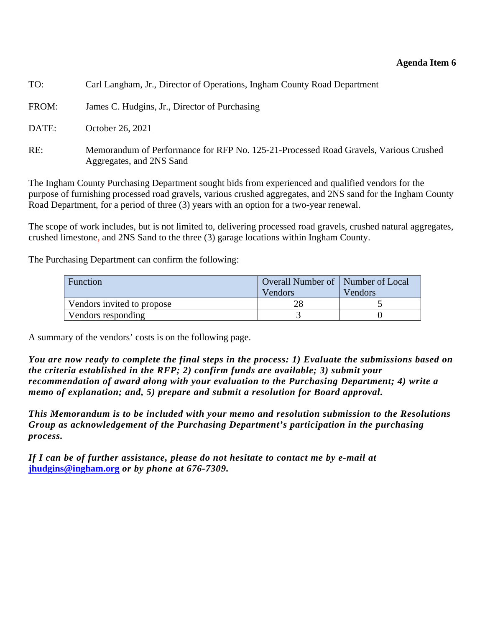#### **Agenda Item 6**

| TO:   | Carl Langham, Jr., Director of Operations, Ingham County Road Department                                         |
|-------|------------------------------------------------------------------------------------------------------------------|
| FROM: | James C. Hudgins, Jr., Director of Purchasing                                                                    |
| DATE: | October 26, 2021                                                                                                 |
| RE:   | Memorandum of Performance for RFP No. 125-21-Processed Road Gravels, Various Crushed<br>Aggregates, and 2NS Sand |

The Ingham County Purchasing Department sought bids from experienced and qualified vendors for the purpose of furnishing processed road gravels, various crushed aggregates, and 2NS sand for the Ingham County Road Department, for a period of three (3) years with an option for a two-year renewal.

The scope of work includes, but is not limited to, delivering processed road gravels, crushed natural aggregates, crushed limestone, and 2NS Sand to the three (3) garage locations within Ingham County.

The Purchasing Department can confirm the following:

| <b>Function</b>            | Overall Number of   Number of Local<br>Vendors | Vendors |
|----------------------------|------------------------------------------------|---------|
| Vendors invited to propose |                                                |         |
| Vendors responding         |                                                |         |

A summary of the vendors' costs is on the following page.

*You are now ready to complete the final steps in the process: 1) Evaluate the submissions based on the criteria established in the RFP; 2) confirm funds are available; 3) submit your recommendation of award along with your evaluation to the Purchasing Department; 4) write a memo of explanation; and, 5) prepare and submit a resolution for Board approval.* 

*This Memorandum is to be included with your memo and resolution submission to the Resolutions Group as acknowledgement of the Purchasing Department's participation in the purchasing process.* 

*If I can be of further assistance, please do not hesitate to contact me by e-mail at*  **jhudgins@ingham.org** *or by phone at 676-7309.*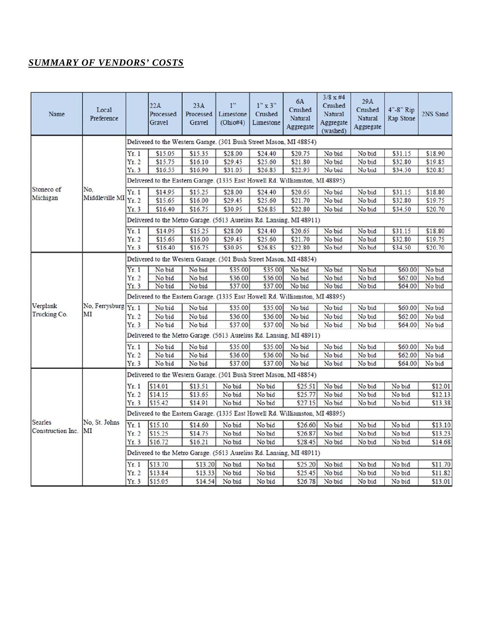# *SUMMARY OF VENDORS' COSTS*

| Name              | Local<br>Preference  |                                                                               | 22A<br>Processed<br>Gravel                                                    | 23A<br>Processed<br>Gravel | 1"<br>Limestone<br>(Ohio#4) | $1"$ x 3"<br>Crushed<br>Limestone | 6A<br>Crushed<br>Natural<br>Aggregate | $3/8 \times #4$<br>Crushed<br><b>Natural</b><br>Aggregate<br>(washed) | 29A<br>Crushed<br>Natural<br>Aggregate | 4"-8" Rip<br>Rap Stone | 2NS Sand |  |
|-------------------|----------------------|-------------------------------------------------------------------------------|-------------------------------------------------------------------------------|----------------------------|-----------------------------|-----------------------------------|---------------------------------------|-----------------------------------------------------------------------|----------------------------------------|------------------------|----------|--|
|                   |                      | Delivered to the Western Garage. (301 Bush Street Mason, MI 48854)            |                                                                               |                            |                             |                                   |                                       |                                                                       |                                        |                        |          |  |
|                   |                      | Yr.1                                                                          | \$15.05                                                                       | \$15.35                    | \$28.00                     | \$24.40                           | \$20.75                               | No bid                                                                | No bid                                 | \$31.15                | \$18.90  |  |
|                   |                      | Yr.2                                                                          | \$15.75                                                                       | \$16.10                    | \$29.45                     | \$25.60                           | \$21.80                               | No bid                                                                | No bid                                 | \$32.80                | \$19.85  |  |
|                   |                      | Yr.3                                                                          | \$16.55                                                                       | \$16.90                    | \$31.05                     | \$26.85                           | \$22.95                               | No bid                                                                | No bid                                 | \$34.50                | \$20.85  |  |
|                   |                      |                                                                               | Delivered to the Eastern Garage. (1335 East Howell Rd. Williamston, MI 48895) |                            |                             |                                   |                                       |                                                                       |                                        |                        |          |  |
| Stoneco of        | No.                  | Yr.1                                                                          | \$14.95                                                                       | \$15.25                    | \$28.00                     | \$24.40                           | \$20.65                               | No bid                                                                | No bid                                 | \$31.15                | \$18.80  |  |
| Michigan          | Middleville MI       | Yr.2                                                                          | \$15.65                                                                       | \$16.00                    | \$29.45                     | \$25.60                           | \$21.70                               | No bid                                                                | No bid                                 | \$32.80                | \$19.75  |  |
|                   |                      | Yr.3                                                                          | \$16.40                                                                       | \$16.75                    | \$30.95                     | \$26.85                           | \$22.80                               | No bid                                                                | No bid                                 | \$34.50                | \$20.70  |  |
|                   |                      |                                                                               | Delivered to the Metro Garage. (5613 Aurelius Rd. Lansing, MI 48911)          |                            |                             |                                   |                                       |                                                                       |                                        |                        |          |  |
|                   |                      | Yr.1                                                                          | \$14.95                                                                       | \$15.25                    | \$28.00                     | \$24.40                           | \$20.65                               | No bid                                                                | No bid                                 | \$31.15                | \$18.80  |  |
|                   |                      | Yr.2                                                                          | \$15.65                                                                       | \$16.00                    | \$29.45                     | \$25.60                           | \$21.70                               | No bid                                                                | No bid                                 | \$32.80                | \$19.75  |  |
|                   |                      | Yr.3                                                                          | \$16.40                                                                       | \$16.75                    | \$30.95                     | \$26.85                           | \$22.80                               | No bid                                                                | No bid                                 | \$34.50                | \$20.70  |  |
|                   |                      |                                                                               | Delivered to the Western Garage. (301 Bush Street Mason, MI 48854)            |                            |                             |                                   |                                       |                                                                       |                                        |                        |          |  |
|                   |                      | Yr.1                                                                          | No bid                                                                        | No bid                     | \$35.00                     | \$35.00                           | No bid                                | No bid                                                                | No bid                                 | \$60.00                | No bid   |  |
|                   |                      | Yr.2                                                                          | No bid                                                                        | No bid                     | \$36.00                     | \$36.00                           | No bid                                | No bid                                                                | No bid                                 | \$62.00                | No bid   |  |
|                   |                      | Yr.3                                                                          | No bid                                                                        | No bid                     | \$37.00                     | \$37.00                           | No bid                                | No bid                                                                | No bid                                 | \$64.00                | No bid   |  |
|                   |                      | Delivered to the Eastern Garage. (1335 East Howell Rd. Williamston, MI 48895) |                                                                               |                            |                             |                                   |                                       |                                                                       |                                        |                        |          |  |
| Verplank          | No, Ferrysburg Yr. 1 |                                                                               | No bid                                                                        | No bid                     | \$35.00                     | \$35.00                           | No bid                                | No bid                                                                | No bid                                 | \$60.00                | No bid   |  |
| Trucking Co.      | MI                   | Yr.2                                                                          | No bid                                                                        | No bid                     | \$36.00                     | \$36.00                           | No bid                                | No bid                                                                | No bid                                 | \$62.00                | No bid   |  |
|                   |                      | Yr.3                                                                          | No bid                                                                        | No bid                     | \$37.00                     | \$37.00                           | No bid                                | No bid                                                                | No bid                                 | \$64.00                | No bid   |  |
|                   |                      |                                                                               | Delivered to the Metro Garage. (5613 Aurelius Rd. Lansing, MI 48911)          |                            |                             |                                   |                                       |                                                                       |                                        |                        |          |  |
|                   |                      | Yr.1                                                                          | No bid                                                                        | No bid                     | \$35.00                     | \$35.00                           | No bid                                | No bid                                                                | No bid                                 | \$60.00                | No bid   |  |
|                   |                      | Yr.2                                                                          | No bid                                                                        | No bid                     | \$36.00                     | \$36.00                           | No bid                                | No bid                                                                | No bid                                 | \$62.00                | No bid   |  |
|                   |                      | Yr.3                                                                          | No bid                                                                        | No bid                     | \$37.00                     | \$37.00                           | No bid                                | No bid                                                                | No bid                                 | \$64.00                | No bid   |  |
|                   |                      |                                                                               | Delivered to the Western Garage. (301 Bush Street Mason, MI 48854)            |                            |                             |                                   |                                       |                                                                       |                                        |                        |          |  |
|                   |                      | Yr.1                                                                          | \$14.01                                                                       | \$13.51                    | No bid                      | No bid                            | \$25.51                               | No bid                                                                | No bid                                 | No bid                 | \$12.01  |  |
|                   |                      | Yr.2                                                                          | \$14.15                                                                       | \$13.65                    | No bid                      | No bid                            | \$25.77                               | No bid                                                                | No bid                                 | No bid                 | \$12.13  |  |
|                   |                      | Yr.3                                                                          | \$15.42                                                                       | \$14.91                    | No bid                      | No bid                            | \$27.15                               | No bid                                                                | No bid                                 | No bid                 | \$13.38  |  |
|                   |                      |                                                                               | Delivered to the Eastern Garage. (1335 East Howell Rd. Williamston, MI 48895) |                            |                             |                                   |                                       |                                                                       |                                        |                        |          |  |
| <b>Searles</b>    | No. St. Johns        | Yr.1                                                                          | \$15.10                                                                       | \$14.60                    | No bid                      | No bid                            | \$26.60                               | No bid                                                                | No bid                                 | No bid                 | \$13.10  |  |
| Construction Inc. | MI                   | Yr.2                                                                          | \$15.25                                                                       | \$14.75                    | No bid                      | No bid                            | \$26.87                               | No bid                                                                | No bid                                 | No bid                 | \$13.23  |  |
|                   |                      | Yr.3                                                                          | \$16.72                                                                       | \$16.21                    | No bid                      | No bid                            | \$28.45                               | No bid                                                                | No bid                                 | No bid                 | \$14.68  |  |
|                   |                      |                                                                               | Delivered to the Metro Garage. (5613 Aurelius Rd. Lansing, MI 48911)          |                            |                             |                                   |                                       |                                                                       |                                        |                        |          |  |
|                   |                      | Yr.1                                                                          | \$13.70                                                                       | \$13.20                    | No bid                      | No bid                            | \$25.20                               | No bid                                                                | No bid                                 | No bid                 | \$11.70  |  |
|                   |                      | Yr.2                                                                          | \$13.84                                                                       | \$13.33                    | No bid                      | No bid                            | \$25.45                               | No bid                                                                | No bid                                 | No bid                 | \$11.82  |  |
|                   |                      | Yr.3                                                                          | \$15.05                                                                       | \$14.54                    | No bid                      | No bid                            | \$26.78                               | No bid                                                                | No bid                                 | No bid                 | \$13.01  |  |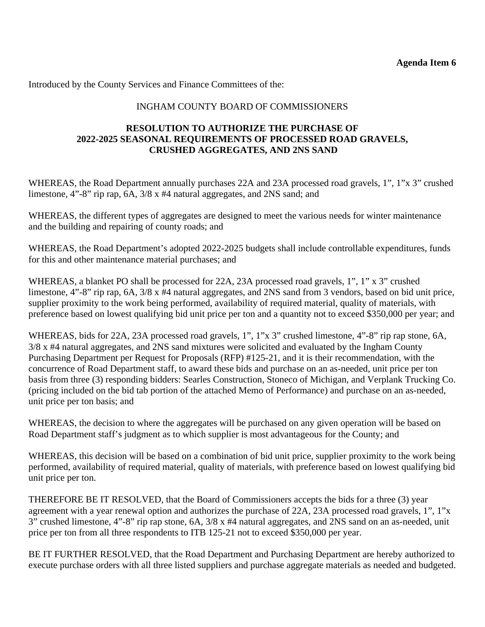Introduced by the County Services and Finance Committees of the:

# INGHAM COUNTY BOARD OF COMMISSIONERS

## **RESOLUTION TO AUTHORIZE THE PURCHASE OF 2022-2025 SEASONAL REQUIREMENTS OF PROCESSED ROAD GRAVELS, CRUSHED AGGREGATES, AND 2NS SAND**

WHEREAS, the Road Department annually purchases 22A and 23A processed road gravels, 1", 1"x 3" crushed limestone, 4"-8" rip rap, 6A, 3/8 x #4 natural aggregates, and 2NS sand; and

WHEREAS, the different types of aggregates are designed to meet the various needs for winter maintenance and the building and repairing of county roads; and

WHEREAS, the Road Department's adopted 2022-2025 budgets shall include controllable expenditures, funds for this and other maintenance material purchases; and

WHEREAS, a blanket PO shall be processed for 22A, 23A processed road gravels, 1", 1" x 3" crushed limestone, 4"-8" rip rap, 6A, 3/8 x #4 natural aggregates, and 2NS sand from 3 vendors, based on bid unit price, supplier proximity to the work being performed, availability of required material, quality of materials, with preference based on lowest qualifying bid unit price per ton and a quantity not to exceed \$350,000 per year; and

WHEREAS, bids for 22A, 23A processed road gravels, 1", 1"x 3" crushed limestone, 4"-8" rip rap stone, 6A, 3/8 x #4 natural aggregates, and 2NS sand mixtures were solicited and evaluated by the Ingham County Purchasing Department per Request for Proposals (RFP) #125-21, and it is their recommendation, with the concurrence of Road Department staff, to award these bids and purchase on an as-needed, unit price per ton basis from three (3) responding bidders: Searles Construction, Stoneco of Michigan, and Verplank Trucking Co. (pricing included on the bid tab portion of the attached Memo of Performance) and purchase on an as-needed, unit price per ton basis; and

WHEREAS, the decision to where the aggregates will be purchased on any given operation will be based on Road Department staff's judgment as to which supplier is most advantageous for the County; and

WHEREAS, this decision will be based on a combination of bid unit price, supplier proximity to the work being performed, availability of required material, quality of materials, with preference based on lowest qualifying bid unit price per ton.

THEREFORE BE IT RESOLVED, that the Board of Commissioners accepts the bids for a three (3) year agreement with a year renewal option and authorizes the purchase of 22A, 23A processed road gravels, 1", 1"x 3" crushed limestone, 4"-8" rip rap stone, 6A, 3/8 x #4 natural aggregates, and 2NS sand on an as-needed, unit price per ton from all three respondents to ITB 125-21 not to exceed \$350,000 per year.

BE IT FURTHER RESOLVED, that the Road Department and Purchasing Department are hereby authorized to execute purchase orders with all three listed suppliers and purchase aggregate materials as needed and budgeted.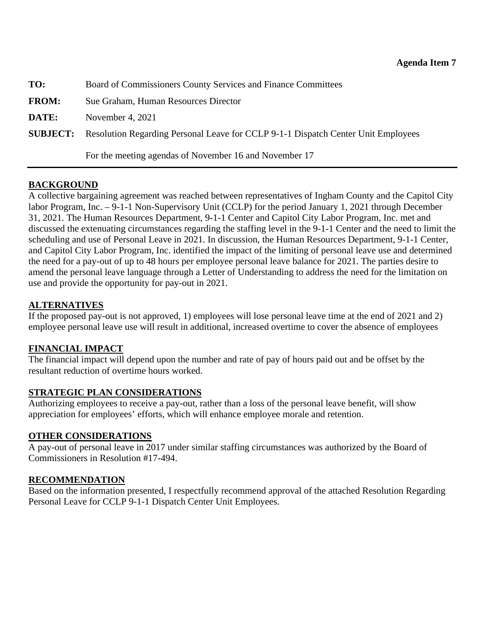<span id="page-31-0"></span>

| TO:          | Board of Commissioners County Services and Finance Committees                                     |
|--------------|---------------------------------------------------------------------------------------------------|
| <b>FROM:</b> | Sue Graham, Human Resources Director                                                              |
| DATE:        | November 4, 2021                                                                                  |
|              | <b>SUBJECT:</b> Resolution Regarding Personal Leave for CCLP 9-1-1 Dispatch Center Unit Employees |
|              | For the meeting agendas of November 16 and November 17                                            |

# **BACKGROUND**

A collective bargaining agreement was reached between representatives of Ingham County and the Capitol City labor Program, Inc. – 9-1-1 Non-Supervisory Unit (CCLP) for the period January 1, 2021 through December 31, 2021. The Human Resources Department, 9-1-1 Center and Capitol City Labor Program, Inc. met and discussed the extenuating circumstances regarding the staffing level in the 9-1-1 Center and the need to limit the scheduling and use of Personal Leave in 2021. In discussion, the Human Resources Department, 9-1-1 Center, and Capitol City Labor Program, Inc. identified the impact of the limiting of personal leave use and determined the need for a pay-out of up to 48 hours per employee personal leave balance for 2021. The parties desire to amend the personal leave language through a Letter of Understanding to address the need for the limitation on use and provide the opportunity for pay-out in 2021.

# **ALTERNATIVES**

If the proposed pay-out is not approved, 1) employees will lose personal leave time at the end of 2021 and 2) employee personal leave use will result in additional, increased overtime to cover the absence of employees

## **FINANCIAL IMPACT**

The financial impact will depend upon the number and rate of pay of hours paid out and be offset by the resultant reduction of overtime hours worked.

## **STRATEGIC PLAN CONSIDERATIONS**

Authorizing employees to receive a pay-out, rather than a loss of the personal leave benefit, will show appreciation for employees' efforts, which will enhance employee morale and retention.

## **OTHER CONSIDERATIONS**

A pay-out of personal leave in 2017 under similar staffing circumstances was authorized by the Board of Commissioners in Resolution #17-494.

## **RECOMMENDATION**

Based on the information presented, I respectfully recommend approval of the attached Resolution Regarding Personal Leave for CCLP 9-1-1 Dispatch Center Unit Employees.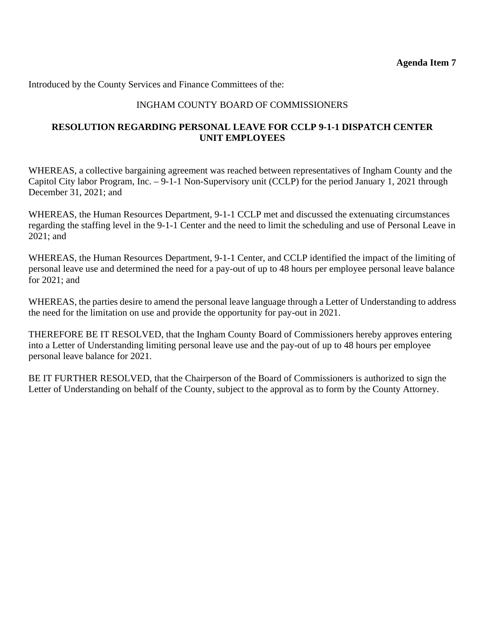Introduced by the County Services and Finance Committees of the:

# INGHAM COUNTY BOARD OF COMMISSIONERS

## **RESOLUTION REGARDING PERSONAL LEAVE FOR CCLP 9-1-1 DISPATCH CENTER UNIT EMPLOYEES**

WHEREAS, a collective bargaining agreement was reached between representatives of Ingham County and the Capitol City labor Program, Inc. – 9-1-1 Non-Supervisory unit (CCLP) for the period January 1, 2021 through December 31, 2021; and

WHEREAS, the Human Resources Department, 9-1-1 CCLP met and discussed the extenuating circumstances regarding the staffing level in the 9-1-1 Center and the need to limit the scheduling and use of Personal Leave in 2021; and

WHEREAS, the Human Resources Department, 9-1-1 Center, and CCLP identified the impact of the limiting of personal leave use and determined the need for a pay-out of up to 48 hours per employee personal leave balance for 2021; and

WHEREAS, the parties desire to amend the personal leave language through a Letter of Understanding to address the need for the limitation on use and provide the opportunity for pay-out in 2021.

THEREFORE BE IT RESOLVED, that the Ingham County Board of Commissioners hereby approves entering into a Letter of Understanding limiting personal leave use and the pay-out of up to 48 hours per employee personal leave balance for 2021.

BE IT FURTHER RESOLVED, that the Chairperson of the Board of Commissioners is authorized to sign the Letter of Understanding on behalf of the County, subject to the approval as to form by the County Attorney.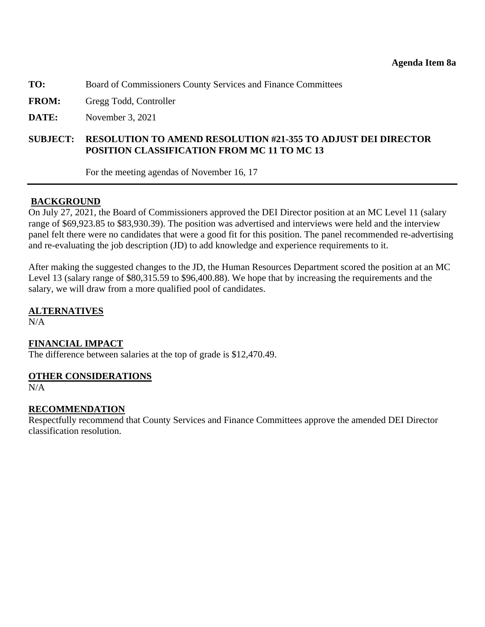<span id="page-33-0"></span>**TO:** Board of Commissioners County Services and Finance Committees

**FROM:** Gregg Todd, Controller

**DATE:** November 3, 2021

## **SUBJECT: RESOLUTION TO AMEND RESOLUTION #21-355 TO ADJUST DEI DIRECTOR POSITION CLASSIFICATION FROM MC 11 TO MC 13**

For the meeting agendas of November 16, 17

## **BACKGROUND**

On July 27, 2021, the Board of Commissioners approved the DEI Director position at an MC Level 11 (salary range of \$69,923.85 to \$83,930.39). The position was advertised and interviews were held and the interview panel felt there were no candidates that were a good fit for this position. The panel recommended re-advertising and re-evaluating the job description (JD) to add knowledge and experience requirements to it.

After making the suggested changes to the JD, the Human Resources Department scored the position at an MC Level 13 (salary range of \$80,315.59 to \$96,400.88). We hope that by increasing the requirements and the salary, we will draw from a more qualified pool of candidates.

**ALTERNATIVES** 

N/A

#### **FINANCIAL IMPACT**

The difference between salaries at the top of grade is \$12,470.49.

#### **OTHER CONSIDERATIONS**

N/A

## **RECOMMENDATION**

Respectfully recommend that County Services and Finance Committees approve the amended DEI Director classification resolution.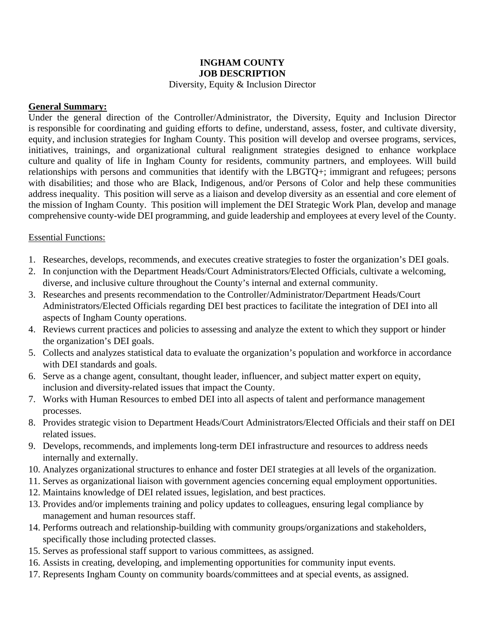# **INGHAM COUNTY JOB DESCRIPTION**

#### Diversity, Equity & Inclusion Director

## **General Summary:**

Under the general direction of the Controller/Administrator, the Diversity, Equity and Inclusion Director is responsible for coordinating and guiding efforts to define, understand, assess, foster, and cultivate diversity, equity, and inclusion strategies for Ingham County. This position will develop and oversee programs, services, initiatives, trainings, and organizational cultural realignment strategies designed to enhance workplace culture and quality of life in Ingham County for residents, community partners, and employees. Will build relationships with persons and communities that identify with the LBGTQ+; immigrant and refugees; persons with disabilities; and those who are Black, Indigenous, and/or Persons of Color and help these communities address inequality. This position will serve as a liaison and develop diversity as an essential and core element of the mission of Ingham County. This position will implement the DEI Strategic Work Plan, develop and manage comprehensive county-wide DEI programming, and guide leadership and employees at every level of the County.

## Essential Functions:

- 1. Researches, develops, recommends, and executes creative strategies to foster the organization's DEI goals.
- 2. In conjunction with the Department Heads/Court Administrators/Elected Officials, cultivate a welcoming, diverse, and inclusive culture throughout the County's internal and external community.
- 3. Researches and presents recommendation to the Controller/Administrator/Department Heads/Court Administrators/Elected Officials regarding DEI best practices to facilitate the integration of DEI into all aspects of Ingham County operations.
- 4. Reviews current practices and policies to assessing and analyze the extent to which they support or hinder the organization's DEI goals.
- 5. Collects and analyzes statistical data to evaluate the organization's population and workforce in accordance with DEI standards and goals.
- 6. Serve as a change agent, consultant, thought leader, influencer, and subject matter expert on equity, inclusion and diversity-related issues that impact the County.
- 7. Works with Human Resources to embed DEI into all aspects of talent and performance management processes.
- 8. Provides strategic vision to Department Heads/Court Administrators/Elected Officials and their staff on DEI related issues.
- 9. Develops, recommends, and implements long-term DEI infrastructure and resources to address needs internally and externally.
- 10. Analyzes organizational structures to enhance and foster DEI strategies at all levels of the organization.
- 11. Serves as organizational liaison with government agencies concerning equal employment opportunities.
- 12. Maintains knowledge of DEI related issues, legislation, and best practices.
- 13. Provides and/or implements training and policy updates to colleagues, ensuring legal compliance by management and human resources staff.
- 14. Performs outreach and relationship-building with community groups/organizations and stakeholders, specifically those including protected classes.
- 15. Serves as professional staff support to various committees, as assigned.
- 16. Assists in creating, developing, and implementing opportunities for community input events.
- 17. Represents Ingham County on community boards/committees and at special events, as assigned.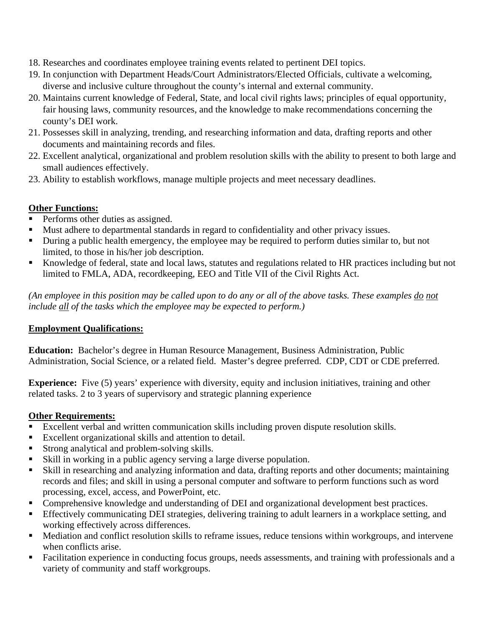- 18. Researches and coordinates employee training events related to pertinent DEI topics.
- 19. In conjunction with Department Heads/Court Administrators/Elected Officials, cultivate a welcoming, diverse and inclusive culture throughout the county's internal and external community.
- 20. Maintains current knowledge of Federal, State, and local civil rights laws; principles of equal opportunity, fair housing laws, community resources, and the knowledge to make recommendations concerning the county's DEI work.
- 21. Possesses skill in analyzing, trending, and researching information and data, drafting reports and other documents and maintaining records and files.
- 22. Excellent analytical, organizational and problem resolution skills with the ability to present to both large and small audiences effectively.
- 23. Ability to establish workflows, manage multiple projects and meet necessary deadlines.

# **Other Functions:**

- Performs other duties as assigned.
- Must adhere to departmental standards in regard to confidentiality and other privacy issues.
- During a public health emergency, the employee may be required to perform duties similar to, but not limited, to those in his/her job description.
- Knowledge of federal, state and local laws, statutes and regulations related to HR practices including but not limited to FMLA, ADA, recordkeeping, EEO and Title VII of the Civil Rights Act.

*(An employee in this position may be called upon to do any or all of the above tasks. These examples do not include all of the tasks which the employee may be expected to perform.)* 

# **Employment Qualifications:**

**Education:** Bachelor's degree in Human Resource Management, Business Administration, Public Administration, Social Science, or a related field. Master's degree preferred. CDP, CDT or CDE preferred.

**Experience:** Five (5) years' experience with diversity, equity and inclusion initiatives, training and other related tasks. 2 to 3 years of supervisory and strategic planning experience

# **Other Requirements:**

- Excellent verbal and written communication skills including proven dispute resolution skills.
- Excellent organizational skills and attention to detail.
- Strong analytical and problem-solving skills.
- Skill in working in a public agency serving a large diverse population.
- Skill in researching and analyzing information and data, drafting reports and other documents; maintaining records and files; and skill in using a personal computer and software to perform functions such as word processing, excel, access, and PowerPoint, etc.
- Comprehensive knowledge and understanding of DEI and organizational development best practices.
- Effectively communicating DEI strategies, delivering training to adult learners in a workplace setting, and working effectively across differences.
- Mediation and conflict resolution skills to reframe issues, reduce tensions within workgroups, and intervene when conflicts arise.
- Facilitation experience in conducting focus groups, needs assessments, and training with professionals and a variety of community and staff workgroups.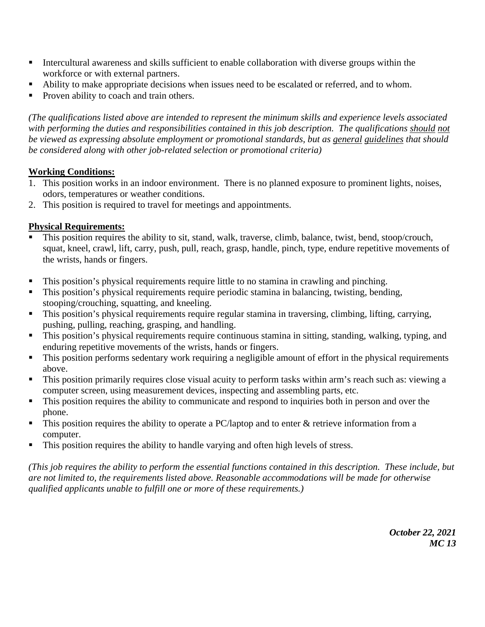- Intercultural awareness and skills sufficient to enable collaboration with diverse groups within the workforce or with external partners.
- Ability to make appropriate decisions when issues need to be escalated or referred, and to whom.
- Proven ability to coach and train others.

*(The qualifications listed above are intended to represent the minimum skills and experience levels associated*  with performing the duties and responsibilities contained in this job description. The qualifications should not *be viewed as expressing absolute employment or promotional standards, but as general guidelines that should be considered along with other job-related selection or promotional criteria)* 

# **Working Conditions:**

- 1. This position works in an indoor environment. There is no planned exposure to prominent lights, noises, odors, temperatures or weather conditions.
- 2. This position is required to travel for meetings and appointments.

# **Physical Requirements:**

- This position requires the ability to sit, stand, walk, traverse, climb, balance, twist, bend, stoop/crouch, squat, kneel, crawl, lift, carry, push, pull, reach, grasp, handle, pinch, type, endure repetitive movements of the wrists, hands or fingers.
- This position's physical requirements require little to no stamina in crawling and pinching.
- This position's physical requirements require periodic stamina in balancing, twisting, bending, stooping/crouching, squatting, and kneeling.
- This position's physical requirements require regular stamina in traversing, climbing, lifting, carrying, pushing, pulling, reaching, grasping, and handling.
- This position's physical requirements require continuous stamina in sitting, standing, walking, typing, and enduring repetitive movements of the wrists, hands or fingers.
- This position performs sedentary work requiring a negligible amount of effort in the physical requirements above.
- This position primarily requires close visual acuity to perform tasks within arm's reach such as: viewing a computer screen, using measurement devices, inspecting and assembling parts, etc.
- This position requires the ability to communicate and respond to inquiries both in person and over the phone.
- $\blacksquare$  This position requires the ability to operate a PC/laptop and to enter & retrieve information from a computer.
- This position requires the ability to handle varying and often high levels of stress.

*(This job requires the ability to perform the essential functions contained in this description. These include, but are not limited to, the requirements listed above. Reasonable accommodations will be made for otherwise qualified applicants unable to fulfill one or more of these requirements.)*

> *October 22, 2021 MC 13*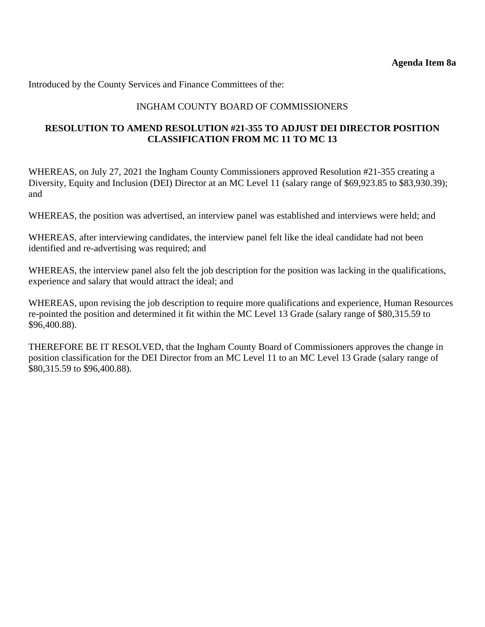Introduced by the County Services and Finance Committees of the:

# INGHAM COUNTY BOARD OF COMMISSIONERS

## **RESOLUTION TO AMEND RESOLUTION #21-355 TO ADJUST DEI DIRECTOR POSITION CLASSIFICATION FROM MC 11 TO MC 13**

WHEREAS, on July 27, 2021 the Ingham County Commissioners approved Resolution #21-355 creating a Diversity, Equity and Inclusion (DEI) Director at an MC Level 11 (salary range of \$69,923.85 to \$83,930.39); and

WHEREAS, the position was advertised, an interview panel was established and interviews were held; and

WHEREAS, after interviewing candidates, the interview panel felt like the ideal candidate had not been identified and re-advertising was required; and

WHEREAS, the interview panel also felt the job description for the position was lacking in the qualifications, experience and salary that would attract the ideal; and

WHEREAS, upon revising the job description to require more qualifications and experience, Human Resources re-pointed the position and determined it fit within the MC Level 13 Grade (salary range of \$80,315.59 to \$96,400.88).

THEREFORE BE IT RESOLVED, that the Ingham County Board of Commissioners approves the change in position classification for the DEI Director from an MC Level 11 to an MC Level 13 Grade (salary range of \$80,315.59 to \$96,400.88).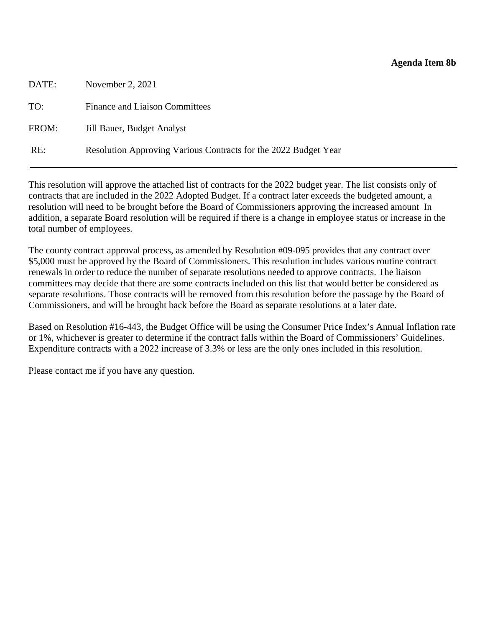#### **Agenda Item 8b**

<span id="page-38-0"></span>

| DATE: | November 2, 2021                                                |
|-------|-----------------------------------------------------------------|
| TO:   | <b>Finance and Liaison Committees</b>                           |
| FROM: | Jill Bauer, Budget Analyst                                      |
| RE:   | Resolution Approving Various Contracts for the 2022 Budget Year |

This resolution will approve the attached list of contracts for the 2022 budget year. The list consists only of contracts that are included in the 2022 Adopted Budget. If a contract later exceeds the budgeted amount, a resolution will need to be brought before the Board of Commissioners approving the increased amount In addition, a separate Board resolution will be required if there is a change in employee status or increase in the total number of employees.

The county contract approval process, as amended by Resolution #09-095 provides that any contract over \$5,000 must be approved by the Board of Commissioners. This resolution includes various routine contract renewals in order to reduce the number of separate resolutions needed to approve contracts. The liaison committees may decide that there are some contracts included on this list that would better be considered as separate resolutions. Those contracts will be removed from this resolution before the passage by the Board of Commissioners, and will be brought back before the Board as separate resolutions at a later date.

Based on Resolution #16-443, the Budget Office will be using the Consumer Price Index's Annual Inflation rate or 1%, whichever is greater to determine if the contract falls within the Board of Commissioners' Guidelines. Expenditure contracts with a 2022 increase of 3.3% or less are the only ones included in this resolution.

Please contact me if you have any question.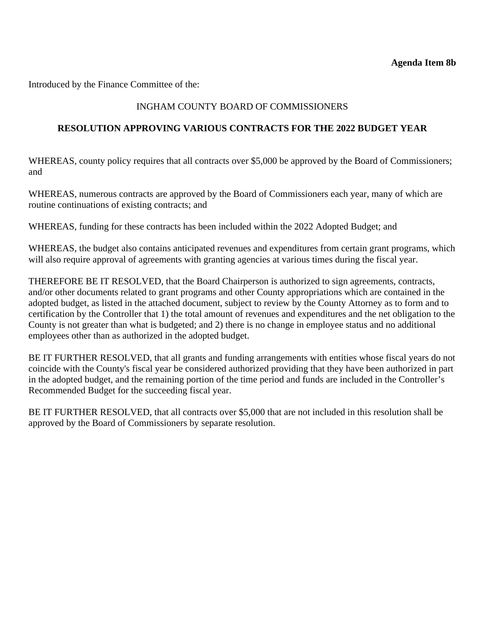Introduced by the Finance Committee of the:

# INGHAM COUNTY BOARD OF COMMISSIONERS

## **RESOLUTION APPROVING VARIOUS CONTRACTS FOR THE 2022 BUDGET YEAR**

WHEREAS, county policy requires that all contracts over \$5,000 be approved by the Board of Commissioners; and

WHEREAS, numerous contracts are approved by the Board of Commissioners each year, many of which are routine continuations of existing contracts; and

WHEREAS, funding for these contracts has been included within the 2022 Adopted Budget; and

WHEREAS, the budget also contains anticipated revenues and expenditures from certain grant programs, which will also require approval of agreements with granting agencies at various times during the fiscal year.

THEREFORE BE IT RESOLVED, that the Board Chairperson is authorized to sign agreements, contracts, and/or other documents related to grant programs and other County appropriations which are contained in the adopted budget, as listed in the attached document, subject to review by the County Attorney as to form and to certification by the Controller that 1) the total amount of revenues and expenditures and the net obligation to the County is not greater than what is budgeted; and 2) there is no change in employee status and no additional employees other than as authorized in the adopted budget.

BE IT FURTHER RESOLVED, that all grants and funding arrangements with entities whose fiscal years do not coincide with the County's fiscal year be considered authorized providing that they have been authorized in part in the adopted budget, and the remaining portion of the time period and funds are included in the Controller's Recommended Budget for the succeeding fiscal year.

BE IT FURTHER RESOLVED, that all contracts over \$5,000 that are not included in this resolution shall be approved by the Board of Commissioners by separate resolution.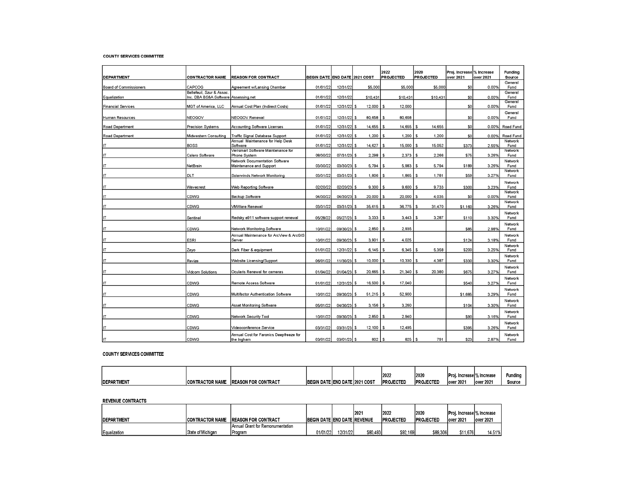#### **COUNTY SERVICES COMMITTEE**

| <b>DEPARTMENT</b>             | <b>CONTRACTOR NAME</b>                                            | <b>REASON FOR CONTRACT</b>                                             | <b>BEGIN DATE END DATE 2021 COST</b> |               |                        | 2022<br><b>PROJECTED</b> | 2020<br><b>PROJECTED</b> | Proj. Increase % Increase<br>over 2021 | over 2021 | Funding<br>Source |
|-------------------------------|-------------------------------------------------------------------|------------------------------------------------------------------------|--------------------------------------|---------------|------------------------|--------------------------|--------------------------|----------------------------------------|-----------|-------------------|
| <b>Board of Commissioners</b> | CAPCOG                                                            | Agreement w/Lansing Chamber                                            | 01/01/22                             | 12/31/22      | \$5,000                | \$5,000                  | \$5,000                  | \$0                                    | 0.00%     | General<br>Fund   |
| Equalization                  | Bellefeuil, Szur & Assoc.<br>Inc. DBA BS&A Software Assessing.net |                                                                        | 01/01/22                             | 12/31/22      | \$10,431               | \$10,431                 | \$10,431                 | \$0                                    | 0.00%     | General<br>Fund   |
| <b>Financial Services</b>     | MGT of America, LLC                                               | Annual Cost Plan (Indirect Costs)                                      | 01/01/22                             | 12/31/22 \$   | $12,000$   \$          | 12,000                   |                          | \$0                                    | 0.00%     | General<br>Fund   |
| Human Resources               | NEOGOV                                                            | NEOGOV Renewal                                                         | 01/01/22                             | 12/31/22 \$   | $80,658$ \ \$          | 80,658                   |                          | \$0                                    | 0.00%     | General<br>Fund   |
| Road Department               | <b>Precision Systems</b>                                          | Accounting Software Licenses                                           | 01/01/22                             | 12/31/22 \$   | $14,655$ \ \$          | 14,655                   | 14,655<br><b>s</b>       | \$0                                    | 0.00%     | Road Fund         |
| Road Department               | Midwestern Consulting                                             | Traffic Signal Database Support                                        | 01/01/22                             | 12/31/22 \$   | $1,200$   \$           | 1,200                    | 1,200<br>\$              | \$0                                    | 0.00%     | Road Fund         |
|                               | BOSS                                                              | Annual Maintenance for Help Desk<br>Software                           | 01/01/22                             | 12/31/22 \$   | $14,627$ \$            | 15,000                   | 15,052<br>ا \$           | \$373                                  | 2.55%     | Network<br>Fund   |
|                               | Calero Software                                                   | Verismart Software Maintenance for<br>Phone System                     | 08/30/22                             | 07/31/23 \$   | $2.298$   \$           | 2.373                    | \$<br>2.266              | \$75                                   | 3.26%     | Network<br>Fund   |
|                               | NetBrain                                                          | Network Documentation Software<br>Maintenance and Support              | 03/30/22                             | 03/30/23 \$   | $5.794$ S              | 5.983                    | \$<br>5.794              | \$189                                  | 3.26%     | Network<br>Fund   |
|                               | DLT                                                               | Solarwinds Network Monitoring                                          | 03/31/22                             | 03/31/23 \$   | $1,806$ $\sqrt{5}$     | 1,865                    | 1.781<br>\$              | \$59                                   | 3.27%     | Network<br>Fund   |
|                               | Wavecrest                                                         | Web Reporting Software                                                 | 02/20/22                             | $02/20/23$ \$ | $9,300$ $\sqrt{5}$     | 9,600                    | 9,733<br>ا\$             | \$300                                  | 3.23%     | Network<br>Fund   |
|                               | CDWG                                                              | Backup Software                                                        | 04/30/22                             | 04/30/23 \$   | $20,000$   \$          | 20,000                   | \$ ا<br>4,035            | \$0                                    | 0.00%     | Network<br>Fund   |
|                               | CDWG                                                              | <b>VMWare Renewal</b>                                                  | 03/31/22                             | 03/31/23 \$   | $35,615$ $\frac{1}{3}$ | 36,775                   | 31.470<br>\$             | \$1.160                                | 3.26%     | Network<br>Fund   |
|                               |                                                                   |                                                                        |                                      |               |                        |                          | 3.287<br><b>S</b>        |                                        |           | Network           |
|                               | Sentinel                                                          | Redsky e911 software support renewal                                   | 05/28/22                             | 05/27/23 \$   | $3,333$ $\frac{1}{9}$  | 3,443                    |                          | \$110                                  | 3.30%     | Fund<br>Network   |
|                               | CDWG                                                              | Network Monitoring Software<br>Annual Maintenance for ArcView & ArcGIS | 10/01/22                             | 09/30/23 \$   | $2,850$   \$           | 2,935                    |                          | \$85                                   | 2.98%     | Fund<br>Network   |
|                               | <b>ESRI</b>                                                       | Server                                                                 | 10/01/22                             | 09/30/23 \$   | $3,901$ S              | 4.025                    |                          | \$124                                  | 3.18%     | Fund<br>Network   |
|                               | Zayo                                                              | Dark Fiber & equipment                                                 | 01/01/22                             | $12/31/22$ \$ | $6,145$ \ \$           | 6,345                    | 5,358<br>£.              | \$200                                  | 3.25%     | Fund<br>Network   |
|                               | Revize                                                            | Website Licensing/Support                                              | 06/01/22                             | $11/30/23$ \$ | $10,000$   \$          | 10,330                   | 4,387<br>Ŝ.              | \$330                                  | 3.30%     | Fund              |
|                               | Vidcom Solutions                                                  | Ocularis Renewal for cameras                                           | 01/04/22                             | $01/04/23$ \$ | $20,665$   \$          | 21,340                   | 20,380                   | \$675                                  | 3.27%     | Network<br>Fund   |
|                               | CDWG                                                              | Remote Access Software                                                 | 01/01/22                             | $12/31/23$ \$ | $16,500$ $\sqrt{5}$    | 17,040                   |                          | \$540                                  | 3.27%     | Network<br>Fund   |
|                               | CDWG                                                              | Multifactor Authentication Software                                    | 10/01/22                             | 09/30/23 \$   | $51,215$   \$          | 52,900                   |                          | \$1,685                                | 3.29%     | Network<br>Fund   |
|                               |                                                                   |                                                                        |                                      |               |                        |                          |                          |                                        |           | Network           |
|                               | CDWG                                                              | Asset Monitoring Software                                              | 05/01/22                             | $04/30/23$ \$ | $3,156$ $\frac{1}{3}$  | 3,260                    |                          | \$104                                  | 3.30%     | Fund<br>Network   |
|                               | CDWG                                                              | Network Security Tool                                                  | 10/01/22                             | 09/30/23 \$   | 2,850                  | 2,940                    |                          | \$90                                   | 3.16%     | Fund<br>Network   |
|                               | CDWG                                                              | Videoconference Service                                                | 03/31/22                             | $03/31/23$ \$ | 12,100                 | 12,495<br>l \$           |                          | \$395                                  | 3.26%     | Fund              |
| IT                            | CDWG                                                              | Annual Cost for Faronics Deepfreeze for<br>the Ingham                  | 03/01/22                             | $03/01/23$ S  | $802$   \$             | 825                      | Ŝ.<br>791                | \$23                                   | 2.87%     | Network<br>Fund   |

#### **COUNTY SERVICES COMMITTEE**

|                    |                        |                             |                   |                               | <br>149.Z        | 2020              | <b>Proj.</b> | i. Increasel% Increase | Funding |
|--------------------|------------------------|-----------------------------|-------------------|-------------------------------|------------------|-------------------|--------------|------------------------|---------|
| <b>IDEPARTMENT</b> | <b>CONTRACTOR NAME</b> | <b>IREASON FOR CONTRACT</b> | <b>BEGIN DATE</b> | <i>E</i> IEND DATE 12021 COST | <b>PROJECTED</b> | <b>IPROJECTED</b> | lover 2021   | lover 2021             | Sourc   |

#### **REVENUE CONTRACTS**

|                   |                        |                                  |                                     |          | 2021     | 12022             | 2020             | Proi. Increase % Increase |            |
|-------------------|------------------------|----------------------------------|-------------------------------------|----------|----------|-------------------|------------------|---------------------------|------------|
| <b>DEPARTMENT</b> | <b>CONTRACTOR NAME</b> | <b>IREASON FOR CONTRACT</b>      | <b>IBEGIN DATE END DATE REVENUE</b> |          |          | <b>IPROJECTED</b> | <b>PROJECTED</b> | lover 2021                | lover 2021 |
|                   |                        | Annual Grant for Remonumentation |                                     |          |          |                   |                  |                           |            |
| Equalization      | State of Michigan      | <b>I</b> Program                 | 01/01/22                            | 12/31/22 | \$80.493 | \$92.169          | \$89,306         | \$11.676                  | 14.51%     |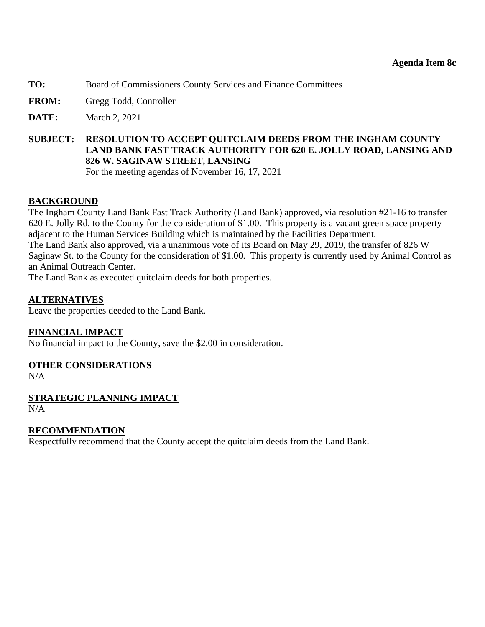- <span id="page-41-0"></span>**TO:** Board of Commissioners County Services and Finance Committees
- **FROM:** Gregg Todd, Controller
- **DATE:** March 2, 2021

**SUBJECT: RESOLUTION TO ACCEPT QUITCLAIM DEEDS FROM THE INGHAM COUNTY LAND BANK FAST TRACK AUTHORITY FOR 620 E. JOLLY ROAD, LANSING AND 826 W. SAGINAW STREET, LANSING**  For the meeting agendas of November 16, 17, 2021

#### **BACKGROUND**

The Ingham County Land Bank Fast Track Authority (Land Bank) approved, via resolution #21-16 to transfer 620 E. Jolly Rd. to the County for the consideration of \$1.00. This property is a vacant green space property adjacent to the Human Services Building which is maintained by the Facilities Department.

The Land Bank also approved, via a unanimous vote of its Board on May 29, 2019, the transfer of 826 W Saginaw St. to the County for the consideration of \$1.00. This property is currently used by Animal Control as an Animal Outreach Center.

The Land Bank as executed quitclaim deeds for both properties.

#### **ALTERNATIVES**

Leave the properties deeded to the Land Bank.

#### **FINANCIAL IMPACT**

No financial impact to the County, save the \$2.00 in consideration.

#### **OTHER CONSIDERATIONS**

 $N/A$ 

**STRATEGIC PLANNING IMPACT**  N/A

#### **RECOMMENDATION**

Respectfully recommend that the County accept the quitclaim deeds from the Land Bank.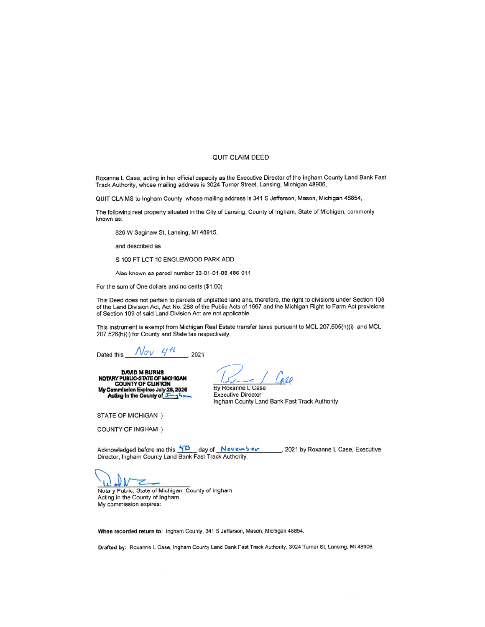#### **QUIT CLAIM DEED**

Roxanne L Case, acting in her official capacity as the Executive Director of the Ingham County Land Bank Fast Track Authority, whose mailing address is 3024 Turner Street, Lansing, Michigan 48906,

QUIT CLAIMS to Ingham County, whose mailing address is 341 S Jefferson, Mason, Michigan 48854,

The following real property situated in the City of Lansing, County of Ingham, State of Michigan, commonly known as:

826 W Saginaw St, Lansing, MI 48915,

and described as

S 100 FT LOT 10 ENGLEWOOD PARK ADD

Also known as parcel number 33-01-01-08-486-011

For the sum of One dollars and no cents (\$1.00)

This Deed does not pertain to parcels of unplatted land and, therefore, the right to divisions under Section 108 of the Land Division Act, Act No. 288 of the Public Acts of 1967 and the Michigan Right to Farm Act provisions of Section 109 of said Land Division Act are not applicable.

This instrument is exempt from Michigan Real Estate transfer taxes pursuant to MCL 207.505(h)(i) and MCL 207.526(h)(i) for County and State tax respectively.

Dated this  $\frac{N_{\sigma V} H H}{2021}$ 

DAVID M BURNS<br>NOTARY PUBLIC-STATE OF MICHIGAN<br>COUNTY OF CLINTON<br>My Commission Expires July 28, 2026<br>Acting in the County of Tring have

all

By Roxanne L Case **Executive Director** Ingham County Land Bank Fast Track Authority

STATE OF MICHIGAN )

**COUNTY OF INGHAM** )

Acknowledged before me this  $\frac{12}{2}$  day of  $\frac{N \text{over M}^2}{N \text{ times M}}$ , 2021 by Roxanne L Case, Executive Director, Ingham County Land Bank Fast Track Authority.

⇁

Notary Public, State of Michigan, County of Ingham Acting in the County of Ingham My commission expires:

When recorded return to: Ingham County, 341 S Jefferson, Mason, Michigan 48854,

Drafted by: Roxanne L Case, Ingham County Land Bank Fast Track Authority, 3024 Turner St, Lansing, MI 48906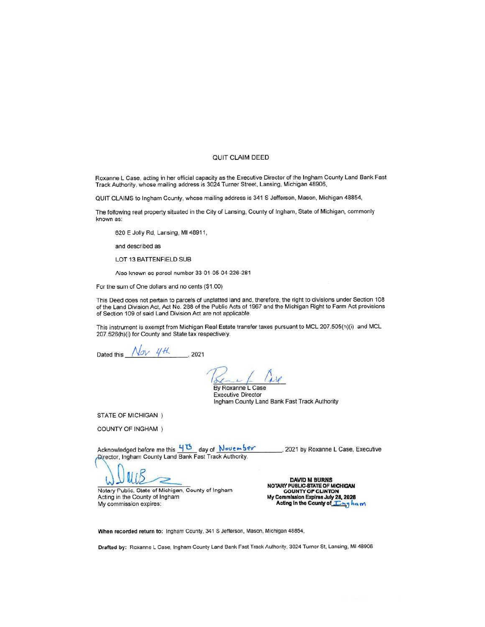#### **QUIT CLAIM DEED**

Roxanne L Case, acting in her official capacity as the Executive Director of the Ingham County Land Bank Fast Track Authority, whose mailing address is 3024 Turner Street, Lansing, Michigan 48906,

QUIT CLAIMS to Ingham County, whose mailing address is 341 S Jefferson, Mason, Michigan 48854,

The following real property situated in the City of Lansing, County of Ingham, State of Michigan, commonly known as:

620 E Jolly Rd, Lansing, MI 48911,

and described as

LOT 13 BATTENFIELD SUB

Also known as parcel number 33-01-05-04-226-281

For the sum of One dollars and no cents (\$1.00)

This Deed does not pertain to parcels of unplatted land and, therefore, the right to divisions under Section 108 of the Land Division Act, Act No. 288 of the Public Acts of 1967 and the Michigan Right to Farm Act provisions of Section 109 of said Land Division Act are not applicable.

This instrument is exempt from Michigan Real Estate transfer taxes pursuant to MCL 207.505(h)(i) and MCL 207.526(h)(i) for County and State tax respectively.

 $N_{ov}$  4th 2021 Dated this

 $130$ x By Roxanne L Case

**Executive Director** Ingham County Land Bank Fast Track Authority

STATE OF MICHIGAN )

COUNTY OF INGHAM )

Acknowledged before me this  $\frac{45}{10}$  day of November<br>Alrector, Ingham County Land Bank Fast Track Authority. \_\_, 2021 by Roxanne L Case, Executive

uis

Notary Public, State of Michigan, County of Ingham Acting in the County of Ingham My commission expires:

**DAVID M BURNS** NOTARY PUBLIC-STATE OF MICHIGAN NUIART PUBLINT OF CLINTON<br>My Commission Expires July 28, 2026<br>Acting in the County of <u>TC hig</u> ha m

When recorded return to: Ingham County, 341 S Jefferson, Mason, Michigan 48854,

Drafted by: Roxanne L Case, Ingham County Land Bank Fast Track Authority, 3024 Turner St, Lansing, MI 48906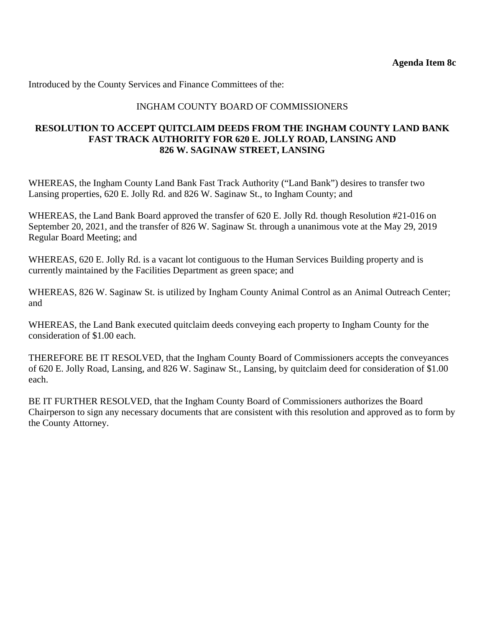Introduced by the County Services and Finance Committees of the:

## INGHAM COUNTY BOARD OF COMMISSIONERS

#### **RESOLUTION TO ACCEPT QUITCLAIM DEEDS FROM THE INGHAM COUNTY LAND BANK FAST TRACK AUTHORITY FOR 620 E. JOLLY ROAD, LANSING AND 826 W. SAGINAW STREET, LANSING**

WHEREAS, the Ingham County Land Bank Fast Track Authority ("Land Bank") desires to transfer two Lansing properties, 620 E. Jolly Rd. and 826 W. Saginaw St., to Ingham County; and

WHEREAS, the Land Bank Board approved the transfer of 620 E. Jolly Rd. though Resolution #21-016 on September 20, 2021, and the transfer of 826 W. Saginaw St. through a unanimous vote at the May 29, 2019 Regular Board Meeting; and

WHEREAS, 620 E. Jolly Rd. is a vacant lot contiguous to the Human Services Building property and is currently maintained by the Facilities Department as green space; and

WHEREAS, 826 W. Saginaw St. is utilized by Ingham County Animal Control as an Animal Outreach Center; and

WHEREAS, the Land Bank executed quitclaim deeds conveying each property to Ingham County for the consideration of \$1.00 each.

THEREFORE BE IT RESOLVED, that the Ingham County Board of Commissioners accepts the conveyances of 620 E. Jolly Road, Lansing, and 826 W. Saginaw St., Lansing, by quitclaim deed for consideration of \$1.00 each.

BE IT FURTHER RESOLVED, that the Ingham County Board of Commissioners authorizes the Board Chairperson to sign any necessary documents that are consistent with this resolution and approved as to form by the County Attorney.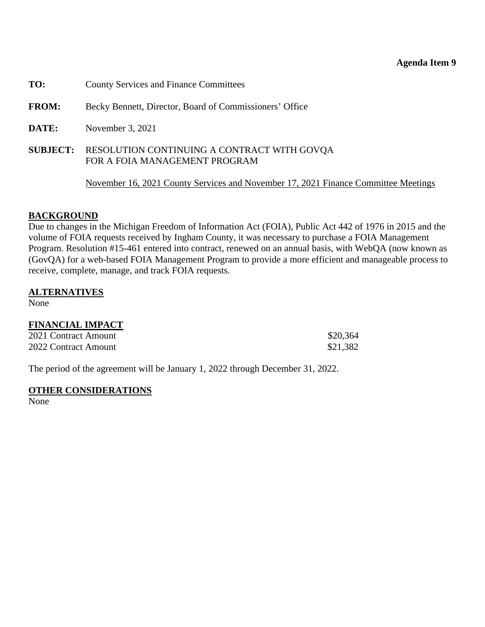#### **Agenda Item 9**

- <span id="page-45-0"></span>**TO:** County Services and Finance Committees
- **FROM:** Becky Bennett, Director, Board of Commissioners' Office
- **DATE:** November 3, 2021
- **SUBJECT:** RESOLUTION CONTINUING A CONTRACT WITH GOVQAFOR A FOIA MANAGEMENT PROGRAM

November 16, 2021 County Services and November 17, 2021 Finance Committee Meetings

#### **BACKGROUND**

Due to changes in the Michigan Freedom of Information Act (FOIA), Public Act 442 of 1976 in 2015 and the volume of FOIA requests received by Ingham County, it was necessary to purchase a FOIA Management Program. Resolution #15-461 entered into contract, renewed on an annual basis, with WebQA (now known as (GovQA) for a web-based FOIA Management Program to provide a more efficient and manageable process to receive, complete, manage, and track FOIA requests.

#### **ALTERNATIVES**

None

# **FINANCIAL IMPACT**

| 2021 Contract Amount | \$20,364 |
|----------------------|----------|
| 2022 Contract Amount | \$21,382 |

The period of the agreement will be January 1, 2022 through December 31, 2022.

#### **OTHER CONSIDERATIONS**

None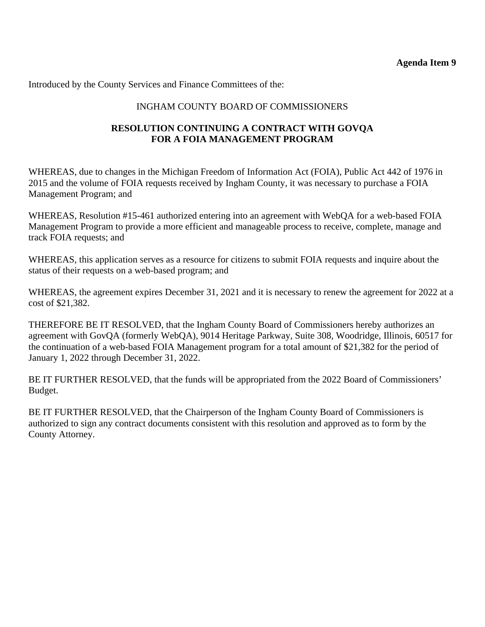Introduced by the County Services and Finance Committees of the:

# INGHAM COUNTY BOARD OF COMMISSIONERS

# **RESOLUTION CONTINUING A CONTRACT WITH GOVQA FOR A FOIA MANAGEMENT PROGRAM**

WHEREAS, due to changes in the Michigan Freedom of Information Act (FOIA), Public Act 442 of 1976 in 2015 and the volume of FOIA requests received by Ingham County, it was necessary to purchase a FOIA Management Program; and

WHEREAS, Resolution #15-461 authorized entering into an agreement with WebQA for a web-based FOIA Management Program to provide a more efficient and manageable process to receive, complete, manage and track FOIA requests; and

WHEREAS, this application serves as a resource for citizens to submit FOIA requests and inquire about the status of their requests on a web-based program; and

WHEREAS, the agreement expires December 31, 2021 and it is necessary to renew the agreement for 2022 at a cost of \$21,382.

THEREFORE BE IT RESOLVED, that the Ingham County Board of Commissioners hereby authorizes an agreement with GovQA (formerly WebQA), 9014 Heritage Parkway, Suite 308, Woodridge, Illinois, 60517 for the continuation of a web-based FOIA Management program for a total amount of \$21,382 for the period of January 1, 2022 through December 31, 2022.

BE IT FURTHER RESOLVED, that the funds will be appropriated from the 2022 Board of Commissioners' Budget.

BE IT FURTHER RESOLVED, that the Chairperson of the Ingham County Board of Commissioners is authorized to sign any contract documents consistent with this resolution and approved as to form by the County Attorney.